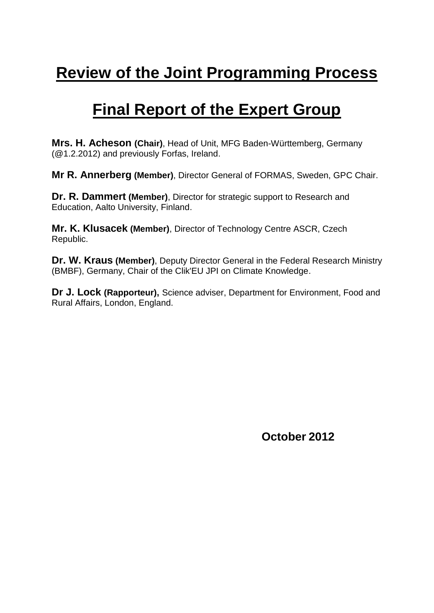# **Review of the Joint Programming Process**

# **Final Report of the Expert Group**

**Mrs. H. Acheson (Chair)**, Head of Unit, MFG Baden-Württemberg, Germany (@1.2.2012) and previously Forfas, Ireland.

**Mr R. Annerberg (Member)**, Director General of FORMAS, Sweden, GPC Chair.

**Dr. R. Dammert (Member)**, Director for strategic support to Research and Education, Aalto University, Finland.

**Mr. K. Klusacek (Member)**, Director of Technology Centre ASCR, Czech Republic.

**Dr. W. Kraus (Member)**, Deputy Director General in the Federal Research Ministry (BMBF), Germany, Chair of the Clik'EU JPI on Climate Knowledge.

**Dr J. Lock (Rapporteur),** Science adviser, Department for Environment, Food and Rural Affairs, London, England.

**October 2012**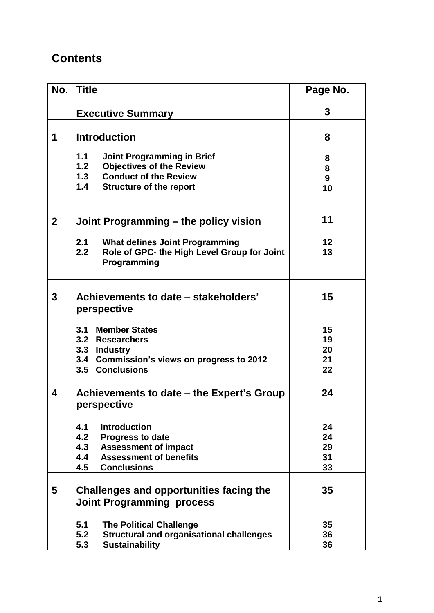# **Contents**

| No.            | <b>Title</b>                                                      | Page No.        |
|----------------|-------------------------------------------------------------------|-----------------|
|                |                                                                   |                 |
|                | <b>Executive Summary</b>                                          | 3               |
| 1              | <b>Introduction</b>                                               | 8               |
|                | 1.1<br><b>Joint Programming in Brief</b>                          | 8               |
|                | <b>Objectives of the Review</b><br>1.2                            | 8               |
|                | <b>Conduct of the Review</b><br>1.3                               | 9               |
|                | 1.4<br><b>Structure of the report</b>                             | 10              |
| $\overline{2}$ | Joint Programming – the policy vision                             | 11              |
|                | 2.1<br><b>What defines Joint Programming</b>                      | 12 <sub>2</sub> |
|                | 2.2<br>Role of GPC- the High Level Group for Joint<br>Programming | 13              |
| 3              | Achievements to date – stakeholders'<br>perspective               | 15              |
|                | <b>Member States</b><br>3.1                                       | 15              |
|                | 3.2 Researchers                                                   | 19              |
|                | 3.3 Industry                                                      | 20              |
|                | 3.4 Commission's views on progress to 2012                        | 21              |
|                | 3.5 Conclusions                                                   | 22              |
| 4              | Achievements to date – the Expert's Group<br>perspective          | 24              |
|                | 4.1<br><b>Introduction</b>                                        | 24              |
|                | 4.2<br><b>Progress to date</b>                                    | 24              |
|                | 4.3<br><b>Assessment of impact</b>                                | 29              |
|                | 4.4<br><b>Assessment of benefits</b>                              | 31              |
|                | 4.5<br><b>Conclusions</b>                                         | 33              |
| 5              | Challenges and opportunities facing the                           | 35              |
|                | <b>Joint Programming process</b>                                  |                 |
|                | 5.1<br><b>The Political Challenge</b>                             | 35              |
|                | 5.2<br><b>Structural and organisational challenges</b>            | 36              |
|                | <b>Sustainability</b><br>5.3                                      | 36              |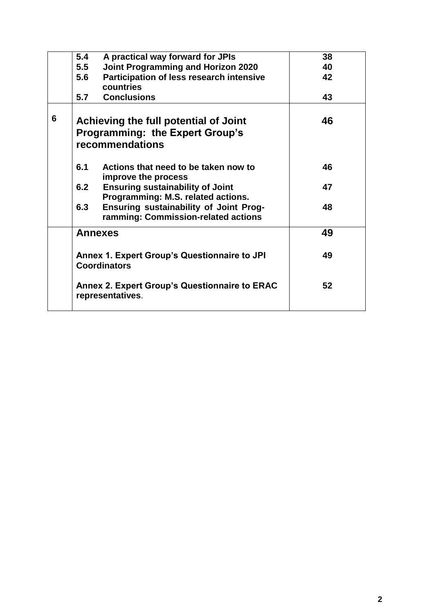|   | 5.4<br>A practical way forward for JPIs                            | 38 |
|---|--------------------------------------------------------------------|----|
|   | <b>Joint Programming and Horizon 2020</b><br>5.5                   | 40 |
|   | Participation of less research intensive<br>5.6                    | 42 |
|   | countries                                                          |    |
|   | 5.7<br><b>Conclusions</b>                                          | 43 |
| 6 | Achieving the full potential of Joint                              | 46 |
|   | <b>Programming: the Expert Group's</b>                             |    |
|   | recommendations                                                    |    |
|   |                                                                    |    |
|   | 6.1<br>Actions that need to be taken now to<br>improve the process | 46 |
|   | 6.2<br><b>Ensuring sustainability of Joint</b>                     | 47 |
|   | Programming: M.S. related actions.                                 |    |
|   | Ensuring sustainability of Joint Prog-<br>6.3                      | 48 |
|   | ramming: Commission-related actions                                |    |
|   |                                                                    |    |
|   | <b>Annexes</b>                                                     | 49 |
|   |                                                                    |    |
|   | Annex 1. Expert Group's Questionnaire to JPI                       | 49 |
|   | <b>Coordinators</b>                                                |    |
|   | <b>Annex 2. Expert Group's Questionnaire to ERAC</b>               | 52 |
|   | representatives.                                                   |    |
|   |                                                                    |    |
|   |                                                                    |    |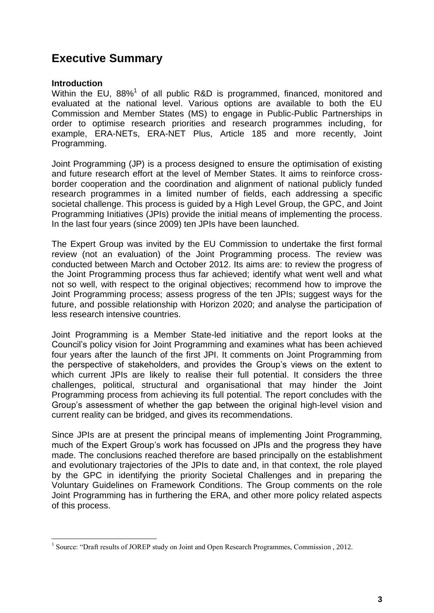## **Executive Summary**

#### **Introduction**

Within the EU, 88%<sup>1</sup> of all public R&D is programmed, financed, monitored and evaluated at the national level. Various options are available to both the EU Commission and Member States (MS) to engage in Public-Public Partnerships in order to optimise research priorities and research programmes including, for example, ERA-NETs, ERA-NET Plus, Article 185 and more recently, Joint Programming.

Joint Programming (JP) is a process designed to ensure the optimisation of existing and future research effort at the level of Member States. It aims to reinforce crossborder cooperation and the coordination and alignment of national publicly funded research programmes in a limited number of fields, each addressing a specific societal challenge. This process is guided by a High Level Group, the GPC, and Joint Programming Initiatives (JPIs) provide the initial means of implementing the process. In the last four years (since 2009) ten JPIs have been launched.

The Expert Group was invited by the EU Commission to undertake the first formal review (not an evaluation) of the Joint Programming process. The review was conducted between March and October 2012. Its aims are: to review the progress of the Joint Programming process thus far achieved; identify what went well and what not so well, with respect to the original objectives; recommend how to improve the Joint Programming process; assess progress of the ten JPIs; suggest ways for the future, and possible relationship with Horizon 2020; and analyse the participation of less research intensive countries.

Joint Programming is a Member State-led initiative and the report looks at the Council's policy vision for Joint Programming and examines what has been achieved four years after the launch of the first JPI. It comments on Joint Programming from the perspective of stakeholders, and provides the Group's views on the extent to which current JPIs are likely to realise their full potential. It considers the three challenges, political, structural and organisational that may hinder the Joint Programming process from achieving its full potential. The report concludes with the Group's assessment of whether the gap between the original high-level vision and current reality can be bridged, and gives its recommendations.

Since JPIs are at present the principal means of implementing Joint Programming, much of the Expert Group's work has focussed on JPIs and the progress they have made. The conclusions reached therefore are based principally on the establishment and evolutionary trajectories of the JPIs to date and, in that context, the role played by the GPC in identifying the priority Societal Challenges and in preparing the Voluntary Guidelines on Framework Conditions. The Group comments on the role Joint Programming has in furthering the ERA, and other more policy related aspects of this process.

 $\overline{a}$ <sup>1</sup> Source: "Draft results of JOREP study on Joint and Open Research Programmes, Commission, 2012.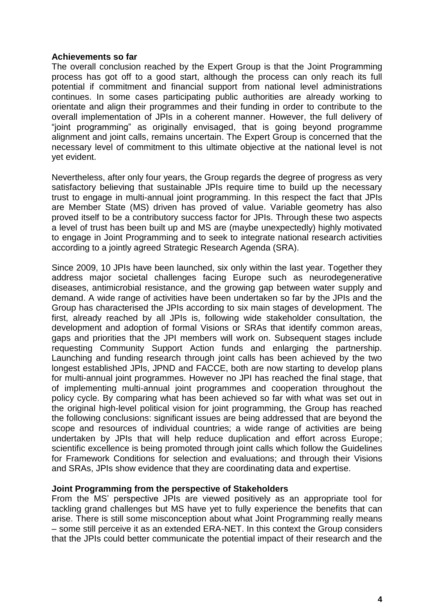#### **Achievements so far**

The overall conclusion reached by the Expert Group is that the Joint Programming process has got off to a good start, although the process can only reach its full potential if commitment and financial support from national level administrations continues. In some cases participating public authorities are already working to orientate and align their programmes and their funding in order to contribute to the overall implementation of JPIs in a coherent manner. However, the full delivery of "joint programming" as originally envisaged, that is going beyond programme alignment and joint calls, remains uncertain. The Expert Group is concerned that the necessary level of commitment to this ultimate objective at the national level is not yet evident.

Nevertheless, after only four years, the Group regards the degree of progress as very satisfactory believing that sustainable JPIs require time to build up the necessary trust to engage in multi-annual joint programming. In this respect the fact that JPIs are Member State (MS) driven has proved of value. Variable geometry has also proved itself to be a contributory success factor for JPIs. Through these two aspects a level of trust has been built up and MS are (maybe unexpectedly) highly motivated to engage in Joint Programming and to seek to integrate national research activities according to a jointly agreed Strategic Research Agenda (SRA).

Since 2009, 10 JPIs have been launched, six only within the last year. Together they address major societal challenges facing Europe such as neurodegenerative diseases, antimicrobial resistance, and the growing gap between water supply and demand. A wide range of activities have been undertaken so far by the JPIs and the Group has characterised the JPIs according to six main stages of development. The first, already reached by all JPIs is, following wide stakeholder consultation, the development and adoption of formal Visions or SRAs that identify common areas, gaps and priorities that the JPI members will work on. Subsequent stages include requesting Community Support Action funds and enlarging the partnership. Launching and funding research through joint calls has been achieved by the two longest established JPIs, JPND and FACCE, both are now starting to develop plans for multi-annual joint programmes. However no JPI has reached the final stage, that of implementing multi-annual joint programmes and cooperation throughout the policy cycle. By comparing what has been achieved so far with what was set out in the original high-level political vision for joint programming, the Group has reached the following conclusions: significant issues are being addressed that are beyond the scope and resources of individual countries; a wide range of activities are being undertaken by JPIs that will help reduce duplication and effort across Europe; scientific excellence is being promoted through joint calls which follow the Guidelines for Framework Conditions for selection and evaluations; and through their Visions and SRAs, JPIs show evidence that they are coordinating data and expertise.

#### **Joint Programming from the perspective of Stakeholders**

From the MS' perspective JPIs are viewed positively as an appropriate tool for tackling grand challenges but MS have yet to fully experience the benefits that can arise. There is still some misconception about what Joint Programming really means – some still perceive it as an extended ERA-NET. In this context the Group considers that the JPIs could better communicate the potential impact of their research and the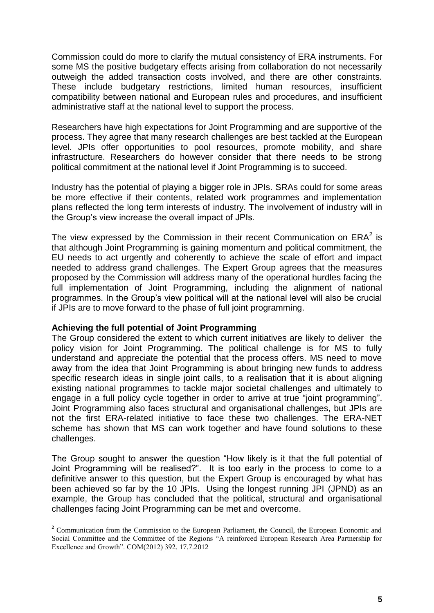Commission could do more to clarify the mutual consistency of ERA instruments. For some MS the positive budgetary effects arising from collaboration do not necessarily outweigh the added transaction costs involved, and there are other constraints. These include budgetary restrictions, limited human resources, insufficient compatibility between national and European rules and procedures, and insufficient administrative staff at the national level to support the process.

Researchers have high expectations for Joint Programming and are supportive of the process. They agree that many research challenges are best tackled at the European level. JPIs offer opportunities to pool resources, promote mobility, and share infrastructure. Researchers do however consider that there needs to be strong political commitment at the national level if Joint Programming is to succeed.

Industry has the potential of playing a bigger role in JPIs. SRAs could for some areas be more effective if their contents, related work programmes and implementation plans reflected the long term interests of industry. The involvement of industry will in the Group's view increase the overall impact of JPIs.

The view expressed by the Commission in their recent Communication on  $ERA<sup>2</sup>$  is that although Joint Programming is gaining momentum and political commitment, the EU needs to act urgently and coherently to achieve the scale of effort and impact needed to address grand challenges. The Expert Group agrees that the measures proposed by the Commission will address many of the operational hurdles facing the full implementation of Joint Programming, including the alignment of national programmes. In the Group's view political will at the national level will also be crucial if JPIs are to move forward to the phase of full joint programming.

#### **Achieving the full potential of Joint Programming**

 $\overline{a}$ 

The Group considered the extent to which current initiatives are likely to deliver the policy vision for Joint Programming. The political challenge is for MS to fully understand and appreciate the potential that the process offers. MS need to move away from the idea that Joint Programming is about bringing new funds to address specific research ideas in single joint calls, to a realisation that it is about aligning existing national programmes to tackle major societal challenges and ultimately to engage in a full policy cycle together in order to arrive at true "joint programming". Joint Programming also faces structural and organisational challenges, but JPIs are not the first ERA-related initiative to face these two challenges. The ERA-NET scheme has shown that MS can work together and have found solutions to these challenges.

The Group sought to answer the question "How likely is it that the full potential of Joint Programming will be realised?". It is too early in the process to come to a definitive answer to this question, but the Expert Group is encouraged by what has been achieved so far by the 10 JPIs. Using the longest running JPI (JPND) as an example, the Group has concluded that the political, structural and organisational challenges facing Joint Programming can be met and overcome.

<sup>&</sup>lt;sup>2</sup> Communication from the Commission to the European Parliament, the Council, the European Economic and Social Committee and the Committee of the Regions "A reinforced European Research Area Partnership for Excellence and Growth". COM(2012) 392. 17.7.2012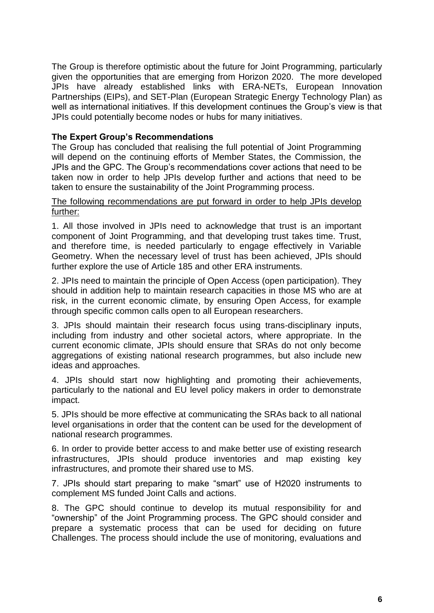The Group is therefore optimistic about the future for Joint Programming, particularly given the opportunities that are emerging from Horizon 2020. The more developed JPIs have already established links with ERA-NETs, European Innovation Partnerships (EIPs), and SET-Plan (European Strategic Energy Technology Plan) as well as international initiatives. If this development continues the Group's view is that JPIs could potentially become nodes or hubs for many initiatives.

#### **The Expert Group's Recommendations**

The Group has concluded that realising the full potential of Joint Programming will depend on the continuing efforts of Member States, the Commission, the JPIs and the GPC. The Group's recommendations cover actions that need to be taken now in order to help JPIs develop further and actions that need to be taken to ensure the sustainability of the Joint Programming process.

#### The following recommendations are put forward in order to help JPIs develop further:

1. All those involved in JPIs need to acknowledge that trust is an important component of Joint Programming, and that developing trust takes time. Trust, and therefore time, is needed particularly to engage effectively in Variable Geometry. When the necessary level of trust has been achieved, JPIs should further explore the use of Article 185 and other ERA instruments.

2. JPIs need to maintain the principle of Open Access (open participation). They should in addition help to maintain research capacities in those MS who are at risk, in the current economic climate, by ensuring Open Access, for example through specific common calls open to all European researchers.

3. JPIs should maintain their research focus using trans-disciplinary inputs, including from industry and other societal actors, where appropriate. In the current economic climate, JPIs should ensure that SRAs do not only become aggregations of existing national research programmes, but also include new ideas and approaches.

4. JPIs should start now highlighting and promoting their achievements, particularly to the national and EU level policy makers in order to demonstrate impact.

5. JPIs should be more effective at communicating the SRAs back to all national level organisations in order that the content can be used for the development of national research programmes.

6. In order to provide better access to and make better use of existing research infrastructures, JPIs should produce inventories and map existing key infrastructures, and promote their shared use to MS.

7. JPIs should start preparing to make "smart" use of H2020 instruments to complement MS funded Joint Calls and actions.

8. The GPC should continue to develop its mutual responsibility for and "ownership" of the Joint Programming process. The GPC should consider and prepare a systematic process that can be used for deciding on future Challenges. The process should include the use of monitoring, evaluations and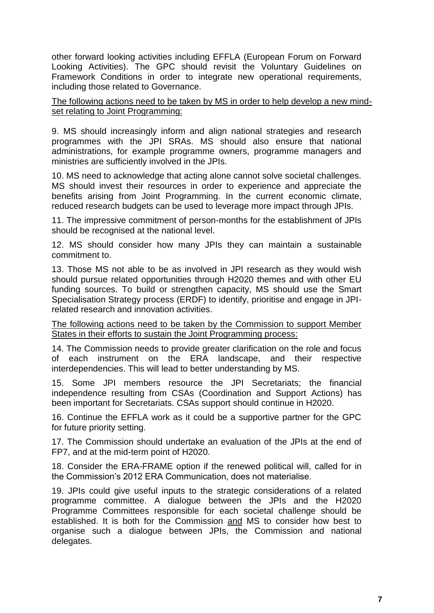other forward looking activities including EFFLA (European Forum on Forward Looking Activities). The GPC should revisit the Voluntary Guidelines on Framework Conditions in order to integrate new operational requirements, including those related to Governance.

The following actions need to be taken by MS in order to help develop a new mindset relating to Joint Programming:

9. MS should increasingly inform and align national strategies and research programmes with the JPI SRAs. MS should also ensure that national administrations, for example programme owners, programme managers and ministries are sufficiently involved in the JPIs.

10. MS need to acknowledge that acting alone cannot solve societal challenges. MS should invest their resources in order to experience and appreciate the benefits arising from Joint Programming. In the current economic climate, reduced research budgets can be used to leverage more impact through JPIs.

11. The impressive commitment of person-months for the establishment of JPIs should be recognised at the national level.

12. MS should consider how many JPIs they can maintain a sustainable commitment to.

13. Those MS not able to be as involved in JPI research as they would wish should pursue related opportunities through H2020 themes and with other EU funding sources. To build or strengthen capacity, MS should use the Smart Specialisation Strategy process (ERDF) to identify, prioritise and engage in JPIrelated research and innovation activities.

The following actions need to be taken by the Commission to support Member States in their efforts to sustain the Joint Programming process:

14. The Commission needs to provide greater clarification on the role and focus of each instrument on the ERA landscape, and their respective interdependencies. This will lead to better understanding by MS.

15. Some JPI members resource the JPI Secretariats; the financial independence resulting from CSAs (Coordination and Support Actions) has been important for Secretariats. CSAs support should continue in H2020.

16. Continue the EFFLA work as it could be a supportive partner for the GPC for future priority setting.

17. The Commission should undertake an evaluation of the JPIs at the end of FP7, and at the mid-term point of H2020.

18. Consider the ERA-FRAME option if the renewed political will, called for in the Commission's 2012 ERA Communication, does not materialise.

19. JPIs could give useful inputs to the strategic considerations of a related programme committee. A dialogue between the JPIs and the H2020 Programme Committees responsible for each societal challenge should be established. It is both for the Commission and MS to consider how best to organise such a dialogue between JPIs, the Commission and national delegates.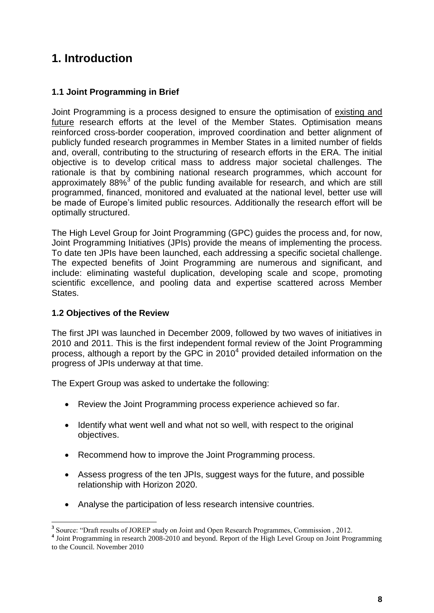## **1. Introduction**

#### **1.1 Joint Programming in Brief**

Joint Programming is a process designed to ensure the optimisation of existing and future research efforts at the level of the Member States. Optimisation means reinforced cross-border cooperation, improved coordination and better alignment of publicly funded research programmes in Member States in a limited number of fields and, overall, contributing to the structuring of research efforts in the ERA. The initial objective is to develop critical mass to address major societal challenges. The rationale is that by combining national research programmes, which account for approximately 88% $3$  of the public funding available for research, and which are still programmed, financed, monitored and evaluated at the national level, better use will be made of Europe's limited public resources. Additionally the research effort will be optimally structured.

The High Level Group for Joint Programming (GPC) guides the process and, for now, Joint Programming Initiatives (JPIs) provide the means of implementing the process. To date ten JPIs have been launched, each addressing a specific societal challenge. The expected benefits of Joint Programming are numerous and significant, and include: eliminating wasteful duplication, developing scale and scope, promoting scientific excellence, and pooling data and expertise scattered across Member States.

#### **1.2 Objectives of the Review**

The first JPI was launched in December 2009, followed by two waves of initiatives in 2010 and 2011. This is the first independent formal review of the Joint Programming process, although a report by the GPC in 2010 $^4$  provided detailed information on the progress of JPIs underway at that time.

The Expert Group was asked to undertake the following:

- Review the Joint Programming process experience achieved so far.
- Identify what went well and what not so well, with respect to the original objectives.
- Recommend how to improve the Joint Programming process.
- Assess progress of the ten JPIs, suggest ways for the future, and possible relationship with Horizon 2020.
- Analyse the participation of less research intensive countries.

<sup>&</sup>lt;sup>3</sup> Source: "Draft results of JOREP study on Joint and Open Research Programmes, Commission, 2012.

**<sup>4</sup>** Joint Programming in research 2008-2010 and beyond. Report of the High Level Group on Joint Programming to the Council. November 2010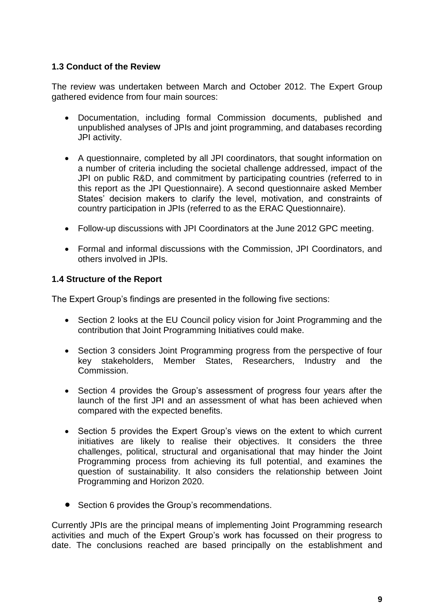#### **1.3 Conduct of the Review**

The review was undertaken between March and October 2012. The Expert Group gathered evidence from four main sources:

- Documentation, including formal Commission documents, published and unpublished analyses of JPIs and joint programming, and databases recording JPI activity.
- A questionnaire, completed by all JPI coordinators, that sought information on a number of criteria including the societal challenge addressed, impact of the JPI on public R&D, and commitment by participating countries (referred to in this report as the JPI Questionnaire). A second questionnaire asked Member States' decision makers to clarify the level, motivation, and constraints of country participation in JPIs (referred to as the ERAC Questionnaire).
- Follow-up discussions with JPI Coordinators at the June 2012 GPC meeting.
- Formal and informal discussions with the Commission, JPI Coordinators, and others involved in JPIs.

#### **1.4 Structure of the Report**

The Expert Group's findings are presented in the following five sections:

- Section 2 looks at the EU Council policy vision for Joint Programming and the contribution that Joint Programming Initiatives could make.
- Section 3 considers Joint Programming progress from the perspective of four key stakeholders, Member States, Researchers, Industry and the Commission.
- Section 4 provides the Group's assessment of progress four years after the launch of the first JPI and an assessment of what has been achieved when compared with the expected benefits.
- Section 5 provides the Expert Group's views on the extent to which current initiatives are likely to realise their objectives. It considers the three challenges, political, structural and organisational that may hinder the Joint Programming process from achieving its full potential, and examines the question of sustainability. It also considers the relationship between Joint Programming and Horizon 2020.
- Section 6 provides the Group's recommendations.

Currently JPIs are the principal means of implementing Joint Programming research activities and much of the Expert Group's work has focussed on their progress to date. The conclusions reached are based principally on the establishment and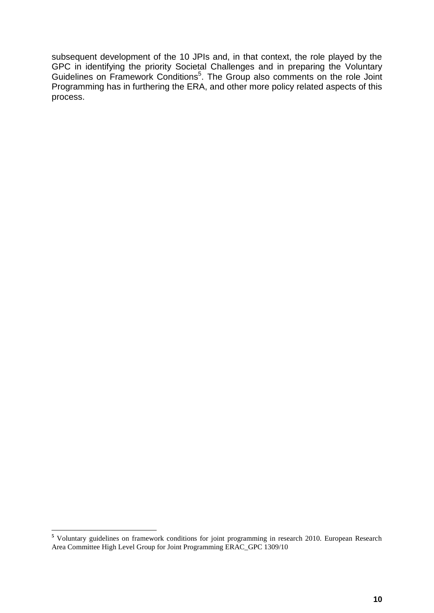subsequent development of the 10 JPIs and, in that context, the role played by the GPC in identifying the priority Societal Challenges and in preparing the Voluntary Guidelines on Framework Conditions<sup>5</sup>. The Group also comments on the role Joint Programming has in furthering the ERA, and other more policy related aspects of this process.

 $\overline{a}$ **<sup>5</sup>** Voluntary guidelines on framework conditions for joint programming in research 2010. European Research Area Committee High Level Group for Joint Programming ERAC\_GPC 1309/10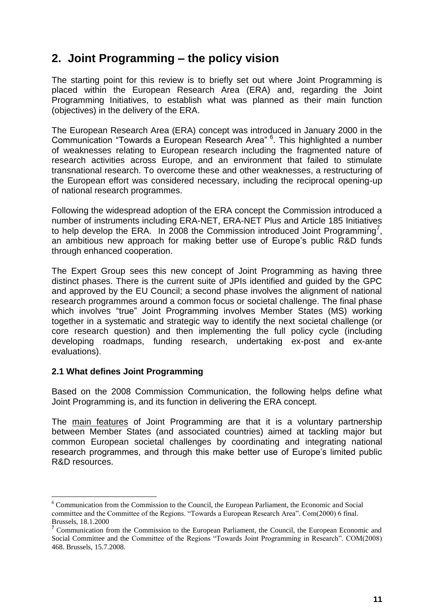### **2. Joint Programming – the policy vision**

The starting point for this review is to briefly set out where Joint Programming is placed within the European Research Area (ERA) and, regarding the Joint Programming Initiatives, to establish what was planned as their main function (objectives) in the delivery of the ERA.

The European Research Area (ERA) concept was introduced in January 2000 in the Communication "Towards a European Research Area" <sup>6</sup>. This highlighted a number of weaknesses relating to European research including the fragmented nature of research activities across Europe, and an environment that failed to stimulate transnational research. To overcome these and other weaknesses, a restructuring of the European effort was considered necessary, including the reciprocal opening-up of national research programmes.

Following the widespread adoption of the ERA concept the Commission introduced a number of instruments including ERA-NET, ERA-NET Plus and Article 185 Initiatives to help develop the ERA. In 2008 the Commission introduced Joint Programming<sup>7</sup>, an ambitious new approach for making better use of Europe's public R&D funds through enhanced cooperation.

The Expert Group sees this new concept of Joint Programming as having three distinct phases. There is the current suite of JPIs identified and guided by the GPC and approved by the EU Council; a second phase involves the alignment of national research programmes around a common focus or societal challenge. The final phase which involves "true" Joint Programming involves Member States (MS) working together in a systematic and strategic way to identify the next societal challenge (or core research question) and then implementing the full policy cycle (including developing roadmaps, funding research, undertaking ex-post and ex-ante evaluations).

#### **2.1 What defines Joint Programming**

 $\overline{a}$ 

Based on the 2008 Commission Communication, the following helps define what Joint Programming is, and its function in delivering the ERA concept.

The main features of Joint Programming are that it is a voluntary partnership between Member States (and associated countries) aimed at tackling major but common European societal challenges by coordinating and integrating national research programmes, and through this make better use of Europe's limited public R&D resources.

<sup>6</sup> Communication from the Commission to the Council, the European Parliament, the Economic and Social committee and the Committee of the Regions. "Towards a European Research Area". Com(2000) 6 final. Brussels, 18.1.2000

**<sup>7</sup>** Communication from the Commission to the European Parliament, the Council, the European Economic and Social Committee and the Committee of the Regions "Towards Joint Programming in Research". COM(2008) 468. Brussels, 15.7.2008.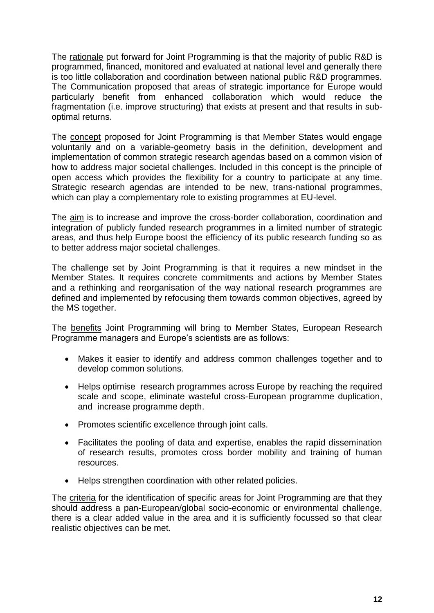The rationale put forward for Joint Programming is that the majority of public R&D is programmed, financed, monitored and evaluated at national level and generally there is too little collaboration and coordination between national public R&D programmes. The Communication proposed that areas of strategic importance for Europe would particularly benefit from enhanced collaboration which would reduce the fragmentation (i.e. improve structuring) that exists at present and that results in suboptimal returns.

The **concept** proposed for Joint Programming is that Member States would engage voluntarily and on a variable-geometry basis in the definition, development and implementation of common strategic research agendas based on a common vision of how to address major societal challenges. Included in this concept is the principle of open access which provides the flexibility for a country to participate at any time. Strategic research agendas are intended to be new, trans-national programmes, which can play a complementary role to existing programmes at EU-level.

The aim is to increase and improve the cross-border collaboration, coordination and integration of publicly funded research programmes in a limited number of strategic areas, and thus help Europe boost the efficiency of its public research funding so as to better address major societal challenges.

The challenge set by Joint Programming is that it requires a new mindset in the Member States. It requires concrete commitments and actions by Member States and a rethinking and reorganisation of the way national research programmes are defined and implemented by refocusing them towards common objectives, agreed by the MS together.

The benefits Joint Programming will bring to Member States, European Research Programme managers and Europe's scientists are as follows:

- Makes it easier to identify and address common challenges together and to develop common solutions.
- Helps optimise research programmes across Europe by reaching the required scale and scope, eliminate wasteful cross-European programme duplication, and increase programme depth.
- Promotes scientific excellence through joint calls.
- Facilitates the pooling of data and expertise, enables the rapid dissemination of research results, promotes cross border mobility and training of human resources.
- Helps strengthen coordination with other related policies.

The criteria for the identification of specific areas for Joint Programming are that they should address a pan-European/global socio-economic or environmental challenge, there is a clear added value in the area and it is sufficiently focussed so that clear realistic objectives can be met.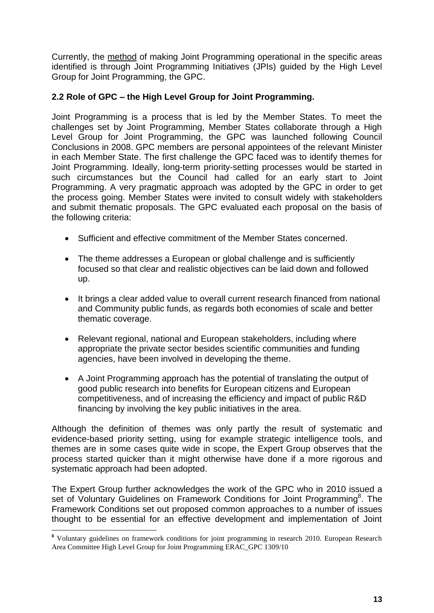Currently, the method of making Joint Programming operational in the specific areas identified is through Joint Programming Initiatives (JPIs) guided by the High Level Group for Joint Programming, the GPC.

#### **2.2 Role of GPC – the High Level Group for Joint Programming.**

Joint Programming is a process that is led by the Member States. To meet the challenges set by Joint Programming, Member States collaborate through a High Level Group for Joint Programming, the GPC was launched following Council Conclusions in 2008. GPC members are personal appointees of the relevant Minister in each Member State. The first challenge the GPC faced was to identify themes for Joint Programming. Ideally, long-term priority-setting processes would be started in such circumstances but the Council had called for an early start to Joint Programming. A very pragmatic approach was adopted by the GPC in order to get the process going. Member States were invited to consult widely with stakeholders and submit thematic proposals. The GPC evaluated each proposal on the basis of the following criteria:

- Sufficient and effective commitment of the Member States concerned.
- The theme addresses a European or global challenge and is sufficiently focused so that clear and realistic objectives can be laid down and followed up.
- It brings a clear added value to overall current research financed from national and Community public funds, as regards both economies of scale and better thematic coverage.
- Relevant regional, national and European stakeholders, including where appropriate the private sector besides scientific communities and funding agencies, have been involved in developing the theme.
- A Joint Programming approach has the potential of translating the output of good public research into benefits for European citizens and European competitiveness, and of increasing the efficiency and impact of public R&D financing by involving the key public initiatives in the area.

Although the definition of themes was only partly the result of systematic and evidence-based priority setting, using for example strategic intelligence tools, and themes are in some cases quite wide in scope, the Expert Group observes that the process started quicker than it might otherwise have done if a more rigorous and systematic approach had been adopted.

The Expert Group further acknowledges the work of the GPC who in 2010 issued a set of Voluntary Guidelines on Framework Conditions for Joint Programming<sup>8</sup>. The Framework Conditions set out proposed common approaches to a number of issues thought to be essential for an effective development and implementation of Joint

 $\overline{a}$ 

**<sup>8</sup>** Voluntary guidelines on framework conditions for joint programming in research 2010. European Research Area Committee High Level Group for Joint Programming ERAC\_GPC 1309/10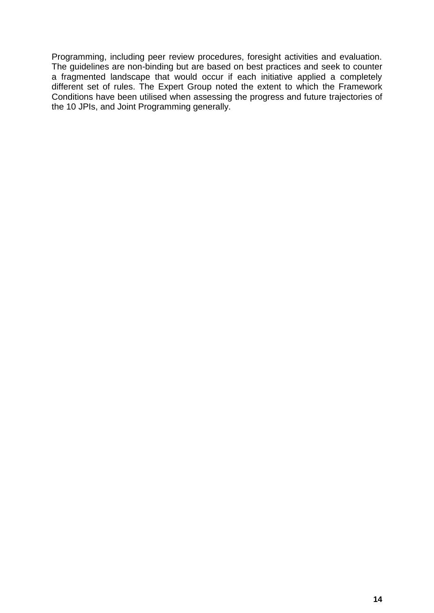Programming, including peer review procedures, foresight activities and evaluation. The guidelines are non-binding but are based on best practices and seek to counter a fragmented landscape that would occur if each initiative applied a completely different set of rules. The Expert Group noted the extent to which the Framework Conditions have been utilised when assessing the progress and future trajectories of the 10 JPIs, and Joint Programming generally.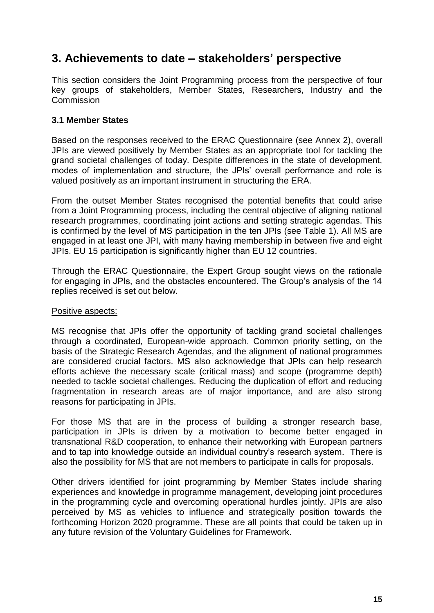### **3. Achievements to date – stakeholders' perspective**

This section considers the Joint Programming process from the perspective of four key groups of stakeholders, Member States, Researchers, Industry and the **Commission** 

#### **3.1 Member States**

Based on the responses received to the ERAC Questionnaire (see Annex 2), overall JPIs are viewed positively by Member States as an appropriate tool for tackling the grand societal challenges of today. Despite differences in the state of development, modes of implementation and structure, the JPIs' overall performance and role is valued positively as an important instrument in structuring the ERA.

From the outset Member States recognised the potential benefits that could arise from a Joint Programming process, including the central objective of aligning national research programmes, coordinating joint actions and setting strategic agendas. This is confirmed by the level of MS participation in the ten JPIs (see Table 1). All MS are engaged in at least one JPI, with many having membership in between five and eight JPIs. EU 15 participation is significantly higher than EU 12 countries.

Through the ERAC Questionnaire, the Expert Group sought views on the rationale for engaging in JPIs, and the obstacles encountered. The Group's analysis of the 14 replies received is set out below.

#### Positive aspects:

MS recognise that JPIs offer the opportunity of tackling grand societal challenges through a coordinated, European-wide approach. Common priority setting, on the basis of the Strategic Research Agendas, and the alignment of national programmes are considered crucial factors. MS also acknowledge that JPIs can help research efforts achieve the necessary scale (critical mass) and scope (programme depth) needed to tackle societal challenges. Reducing the duplication of effort and reducing fragmentation in research areas are of major importance, and are also strong reasons for participating in JPIs.

For those MS that are in the process of building a stronger research base, participation in JPIs is driven by a motivation to become better engaged in transnational R&D cooperation, to enhance their networking with European partners and to tap into knowledge outside an individual country's research system. There is also the possibility for MS that are not members to participate in calls for proposals.

Other drivers identified for joint programming by Member States include sharing experiences and knowledge in programme management, developing joint procedures in the programming cycle and overcoming operational hurdles jointly. JPIs are also perceived by MS as vehicles to influence and strategically position towards the forthcoming Horizon 2020 programme. These are all points that could be taken up in any future revision of the Voluntary Guidelines for Framework.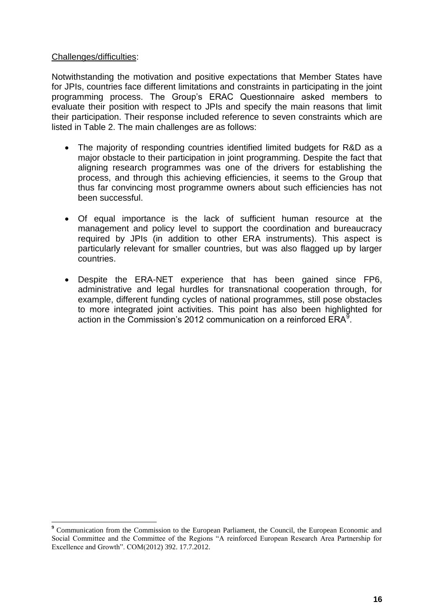#### Challenges/difficulties:

 $\overline{a}$ 

Notwithstanding the motivation and positive expectations that Member States have for JPIs, countries face different limitations and constraints in participating in the joint programming process. The Group's ERAC Questionnaire asked members to evaluate their position with respect to JPIs and specify the main reasons that limit their participation. Their response included reference to seven constraints which are listed in Table 2. The main challenges are as follows:

- The majority of responding countries identified limited budgets for R&D as a major obstacle to their participation in joint programming. Despite the fact that aligning research programmes was one of the drivers for establishing the process, and through this achieving efficiencies, it seems to the Group that thus far convincing most programme owners about such efficiencies has not been successful.
- Of equal importance is the lack of sufficient human resource at the management and policy level to support the coordination and bureaucracy required by JPIs (in addition to other ERA instruments). This aspect is particularly relevant for smaller countries, but was also flagged up by larger countries.
- Despite the ERA-NET experience that has been gained since FP6, administrative and legal hurdles for transnational cooperation through, for example, different funding cycles of national programmes, still pose obstacles to more integrated joint activities. This point has also been highlighted for action in the Commission's 2012 communication on a reinforced  $ERA<sup>9</sup>$ .

**<sup>9</sup>** Communication from the Commission to the European Parliament, the Council, the European Economic and Social Committee and the Committee of the Regions "A reinforced European Research Area Partnership for Excellence and Growth". COM(2012) 392. 17.7.2012.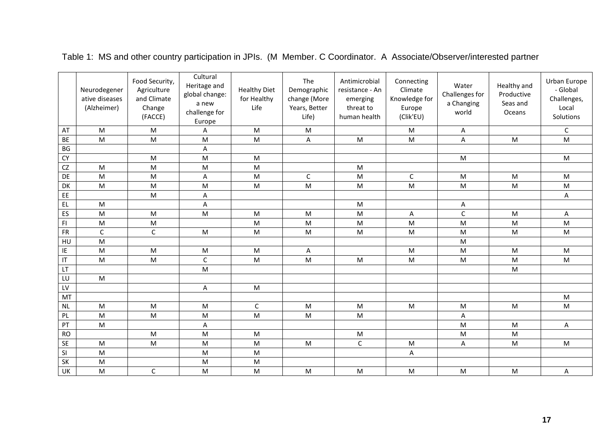|           | Neurodegener<br>ative diseases<br>(Alzheimer) | Food Security,<br>Agriculture<br>and Climate<br>Change<br>(FACCE) | Cultural<br>Heritage and<br>global change:<br>a new<br>challenge for<br>Europe | <b>Healthy Diet</b><br>for Healthy<br>Life | The<br>Demographic<br>change (More<br>Years, Better<br>Life) | Antimicrobial<br>resistance - An<br>emerging<br>threat to<br>human health                                  | Connecting<br>Climate<br>Knowledge for<br>Europe<br>(Clik'EU) | Water<br>Challenges for<br>a Changing<br>world | Healthy and<br>Productive<br>Seas and<br>Oceans | Urban Europe<br>- Global<br>Challenges,<br>Local<br>Solutions |
|-----------|-----------------------------------------------|-------------------------------------------------------------------|--------------------------------------------------------------------------------|--------------------------------------------|--------------------------------------------------------------|------------------------------------------------------------------------------------------------------------|---------------------------------------------------------------|------------------------------------------------|-------------------------------------------------|---------------------------------------------------------------|
| AT        | M                                             | M                                                                 | A                                                                              | ${\sf M}$                                  | M                                                            |                                                                                                            | M                                                             | Α                                              |                                                 | $\mathsf C$                                                   |
| <b>BE</b> | M                                             | M                                                                 | M                                                                              | M                                          | A                                                            | M                                                                                                          | M                                                             | Α                                              | M                                               | M                                                             |
| BG        |                                               |                                                                   | A                                                                              |                                            |                                                              |                                                                                                            |                                                               |                                                |                                                 |                                                               |
| CY        |                                               | M                                                                 | M                                                                              | M                                          |                                                              |                                                                                                            |                                                               | M                                              |                                                 | M                                                             |
| CZ        | M                                             | M                                                                 | ${\sf M}$                                                                      | M                                          |                                                              | M                                                                                                          |                                                               |                                                |                                                 |                                                               |
| <b>DE</b> | M                                             | M                                                                 | Α                                                                              | M                                          | $\mathsf{C}$                                                 | M                                                                                                          | C                                                             | M                                              | M                                               | M                                                             |
| DK        | M                                             | ${\sf M}$                                                         | ${\sf M}$                                                                      | ${\sf M}$                                  | M                                                            | M                                                                                                          | ${\sf M}$                                                     | ${\sf M}$                                      | M                                               | ${\sf M}$                                                     |
| EE        |                                               | M                                                                 | A                                                                              |                                            |                                                              |                                                                                                            |                                                               |                                                |                                                 | Α                                                             |
| EL.       | M                                             |                                                                   | A                                                                              |                                            |                                                              | M                                                                                                          |                                                               | Α                                              |                                                 |                                                               |
| ES        | M                                             | ${\sf M}$                                                         | M                                                                              | M                                          | M                                                            | $\mathsf{M}% _{T}=\mathsf{M}_{T}\!\left( a,b\right) ,\ \mathsf{M}_{T}=\mathsf{M}_{T}$                      | A                                                             | $\mathsf C$                                    | M                                               | Α                                                             |
| FI        | ${\sf M}$                                     | ${\sf M}$                                                         |                                                                                | M                                          | M                                                            | M                                                                                                          | M                                                             | M                                              | M                                               | M                                                             |
| <b>FR</b> | $\mathsf{C}$                                  | $\mathsf C$                                                       | ${\sf M}$                                                                      | ${\sf M}$                                  | M                                                            | M                                                                                                          | M                                                             | ${\sf M}$                                      | M                                               | M                                                             |
| HU        | M                                             |                                                                   |                                                                                |                                            |                                                              |                                                                                                            |                                                               | M                                              |                                                 |                                                               |
| ΙE        | ${\sf M}$                                     | ${\sf M}$                                                         | ${\sf M}$                                                                      | ${\sf M}$                                  | A                                                            |                                                                                                            | ${\sf M}$                                                     | ${\sf M}$                                      | M                                               | M                                                             |
| IT        | M                                             | M                                                                 | $\mathsf C$                                                                    | M                                          | M                                                            | M                                                                                                          | M                                                             | M                                              | M                                               | M                                                             |
| LT.       |                                               |                                                                   | ${\sf M}$                                                                      |                                            |                                                              |                                                                                                            |                                                               |                                                | M                                               |                                                               |
| LU        | M                                             |                                                                   |                                                                                |                                            |                                                              |                                                                                                            |                                                               |                                                |                                                 |                                                               |
| LV        |                                               |                                                                   | A                                                                              | ${\sf M}$                                  |                                                              |                                                                                                            |                                                               |                                                |                                                 |                                                               |
| MT        |                                               |                                                                   |                                                                                |                                            |                                                              |                                                                                                            |                                                               |                                                |                                                 | M                                                             |
| <b>NL</b> | M                                             | ${\sf M}$                                                         | ${\sf M}$                                                                      | $\mathsf C$                                | M                                                            | $\mathsf{M}% _{T}=\mathsf{M}_{T}\!\left( a,b\right) ,\ \mathsf{M}_{T}=\mathsf{M}_{T}\!\left( a,b\right) ,$ | ${\sf M}$                                                     | ${\sf M}$                                      | M                                               | ${\sf M}$                                                     |
| PL        | M                                             | M                                                                 | M                                                                              | M                                          | M                                                            | M                                                                                                          |                                                               | Α                                              |                                                 |                                                               |
| PT        | ${\sf M}$                                     |                                                                   | $\mathsf A$                                                                    |                                            |                                                              |                                                                                                            |                                                               | ${\sf M}$                                      | M                                               | A                                                             |
| <b>RO</b> |                                               | M                                                                 | M                                                                              | ${\sf M}$                                  |                                                              | M                                                                                                          |                                                               | ${\sf M}$                                      | M                                               |                                                               |
| <b>SE</b> | M                                             | M                                                                 | M                                                                              | M                                          | M                                                            | $\mathsf C$                                                                                                | ${\sf M}$                                                     | Α                                              | M                                               | M                                                             |
| SI        | M                                             |                                                                   | ${\sf M}$                                                                      | M                                          |                                                              |                                                                                                            | А                                                             |                                                |                                                 |                                                               |
| SK        | ${\sf M}$                                     |                                                                   | ${\sf M}$                                                                      | M                                          |                                                              |                                                                                                            |                                                               |                                                |                                                 |                                                               |
| UK        | M                                             | $\mathsf C$                                                       | M                                                                              | M                                          | M                                                            | M                                                                                                          | M                                                             | ${\sf M}$                                      | M                                               | Α                                                             |

Table 1: MS and other country participation in JPIs. (M Member. C Coordinator. A Associate/Observer/interested partner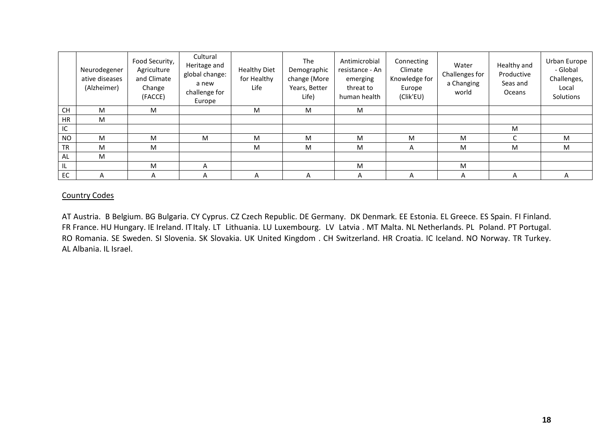|           | Neurodegener<br>ative diseases<br>(Alzheimer) | Food Security,<br>Agriculture<br>and Climate<br>Change<br>(FACCE) | Cultural<br>Heritage and<br>global change:<br>a new<br>challenge for<br>Europe | <b>Healthy Diet</b><br>for Healthy<br>Life | <b>The</b><br>Demographic<br>change (More<br>Years, Better<br>Life) | Antimicrobial<br>resistance - An<br>emerging<br>threat to<br>human health | Connecting<br>Climate<br>Knowledge for<br>Europe<br>(Clik'EU) | Water<br>Challenges for<br>a Changing<br>world | Healthy and<br>Productive<br>Seas and<br><b>Oceans</b> | Urban Europe<br>- Global<br>Challenges,<br>Local<br>Solutions |
|-----------|-----------------------------------------------|-------------------------------------------------------------------|--------------------------------------------------------------------------------|--------------------------------------------|---------------------------------------------------------------------|---------------------------------------------------------------------------|---------------------------------------------------------------|------------------------------------------------|--------------------------------------------------------|---------------------------------------------------------------|
| CH        | M                                             | M                                                                 |                                                                                | M                                          | M                                                                   | M                                                                         |                                                               |                                                |                                                        |                                                               |
| <b>HR</b> | M                                             |                                                                   |                                                                                |                                            |                                                                     |                                                                           |                                                               |                                                |                                                        |                                                               |
| IC.       |                                               |                                                                   |                                                                                |                                            |                                                                     |                                                                           |                                                               |                                                | M                                                      |                                                               |
| <b>NO</b> | M                                             | M                                                                 | M                                                                              | M                                          | M                                                                   | M                                                                         | M                                                             | M                                              | $\sqrt{2}$                                             | M                                                             |
| <b>TR</b> | M                                             | M                                                                 |                                                                                | M                                          | M                                                                   | M                                                                         | A                                                             | M                                              | M                                                      | M                                                             |
| <b>AL</b> | M                                             |                                                                   |                                                                                |                                            |                                                                     |                                                                           |                                                               |                                                |                                                        |                                                               |
| IL.       |                                               | M                                                                 | A                                                                              |                                            |                                                                     | M                                                                         |                                                               | M                                              |                                                        |                                                               |
| <b>EC</b> | А                                             | A                                                                 | A                                                                              | A                                          | A                                                                   | A                                                                         | A                                                             | A                                              | A                                                      | A                                                             |

#### Country Codes

AT Austria. B Belgium. BG Bulgaria. CY Cyprus. CZ Czech Republic. DE Germany. DK Denmark. EE Estonia. EL Greece. ES Spain. FI Finland. FR France. HU Hungary. IE Ireland. IT Italy. LT Lithuania. LU Luxembourg. LV Latvia . MT Malta. NL Netherlands. PL Poland. PT Portugal. RO Romania. SE Sweden. SI Slovenia. SK Slovakia. UK United Kingdom . CH Switzerland. HR Croatia. IC Iceland. NO Norway. TR Turkey. AL Albania. IL Israel.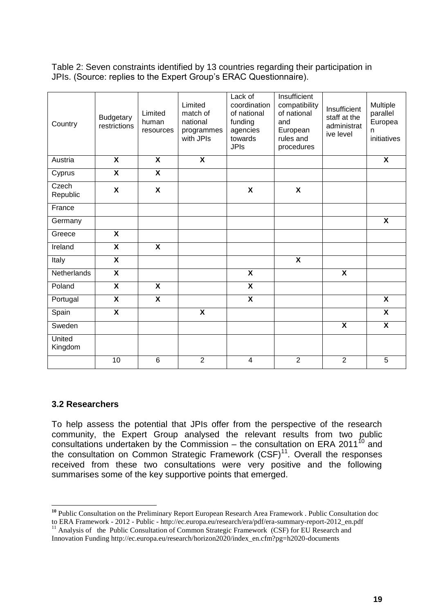Table 2: Seven constraints identified by 13 countries regarding their participation in JPIs. (Source: replies to the Expert Group's ERAC Questionnaire).

| Country           | <b>Budgetary</b><br>restrictions | Limited<br>human<br>resources | Limited<br>match of<br>national<br>programmes<br>with JPIs | Lack of<br>coordination<br>of national<br>funding<br>agencies<br>towards<br><b>JPIs</b> | Insufficient<br>compatibility<br>of national<br>and<br>European<br>rules and<br>procedures | Insufficient<br>staff at the<br>administrat<br>ive level | Multiple<br>parallel<br>Europea<br>n<br>initiatives |
|-------------------|----------------------------------|-------------------------------|------------------------------------------------------------|-----------------------------------------------------------------------------------------|--------------------------------------------------------------------------------------------|----------------------------------------------------------|-----------------------------------------------------|
| Austria           | X                                | $\overline{\mathbf{x}}$       | $\overline{\mathbf{x}}$                                    |                                                                                         |                                                                                            |                                                          | X                                                   |
| Cyprus            | $\overline{\mathbf{x}}$          | $\overline{\mathbf{x}}$       |                                                            |                                                                                         |                                                                                            |                                                          |                                                     |
| Czech<br>Republic | $\boldsymbol{\mathsf{x}}$        | $\boldsymbol{\mathsf{x}}$     |                                                            | X                                                                                       | X                                                                                          |                                                          |                                                     |
| France            |                                  |                               |                                                            |                                                                                         |                                                                                            |                                                          |                                                     |
| Germany           |                                  |                               |                                                            |                                                                                         |                                                                                            |                                                          | $\overline{\mathbf{x}}$                             |
| Greece            | X                                |                               |                                                            |                                                                                         |                                                                                            |                                                          |                                                     |
| Ireland           | $\overline{\mathbf{x}}$          | $\overline{\mathbf{x}}$       |                                                            |                                                                                         |                                                                                            |                                                          |                                                     |
| Italy             | $\overline{\mathbf{x}}$          |                               |                                                            |                                                                                         | $\overline{\mathbf{x}}$                                                                    |                                                          |                                                     |
| Netherlands       | $\overline{\mathbf{x}}$          |                               |                                                            | $\overline{\mathbf{x}}$                                                                 |                                                                                            | $\overline{\mathbf{x}}$                                  |                                                     |
| Poland            | $\overline{\mathbf{X}}$          | $\overline{\mathbf{x}}$       |                                                            | $\overline{\mathsf{x}}$                                                                 |                                                                                            |                                                          |                                                     |
| Portugal          | $\overline{\mathbf{X}}$          | $\overline{\mathbf{x}}$       |                                                            | $\overline{\mathbf{x}}$                                                                 |                                                                                            |                                                          | $\overline{\mathbf{X}}$                             |
| Spain             | $\overline{\mathbf{X}}$          |                               | $\overline{\mathsf{x}}$                                    |                                                                                         |                                                                                            |                                                          | $\overline{\mathbf{x}}$                             |
| Sweden            |                                  |                               |                                                            |                                                                                         |                                                                                            | $\boldsymbol{\mathsf{X}}$                                | $\boldsymbol{\mathsf{X}}$                           |
| United<br>Kingdom |                                  |                               |                                                            |                                                                                         |                                                                                            |                                                          |                                                     |
|                   | 10                               | 6                             | $\overline{2}$                                             | $\overline{4}$                                                                          | $\overline{2}$                                                                             | $\overline{2}$                                           | 5                                                   |

#### **3.2 Researchers**

 $\overline{a}$ 

To help assess the potential that JPIs offer from the perspective of the research community, the Expert Group analysed the relevant results from two public consultations undertaken by the Commission – the consultation on ERA 2011<sup>10</sup> and the consultation on Common Strategic Framework  $(CSF)^{11}$ . Overall the responses received from these two consultations were very positive and the following summarises some of the key supportive points that emerged.

**<sup>10</sup>** Public Consultation on the Preliminary Report European Research Area Framework . Public Consultation doc to ERA Framework - 2012 - Public - [http://ec.europa.eu/research/era/pdf/era-summary-report-2012\\_en.pdf](http://ec.europa.eu/research/era/pdf/era-summary-report-2012_en.pdf)

<sup>&</sup>lt;sup>11</sup> Analysis of the Public Consultation of Common Strategic Framework (CSF) for EU Research and Innovation Funding [http://ec.europa.eu/research/horizon2020/index\\_en.cfm?pg=h2020-documents](http://ec.europa.eu/research/horizon2020/index_en.cfm?pg=h2020-documents)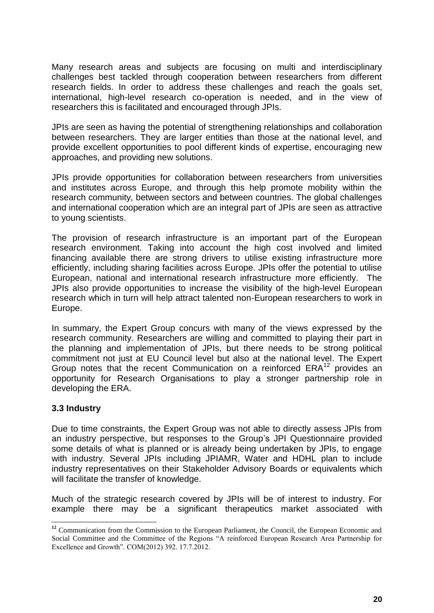Many research areas and subjects are focusing on multi and interdisciplinary challenges best tackled through cooperation between researchers from different research fields. In order to address these challenges and reach the goals set, international, high-level research co-operation is needed, and in the view of researchers this is facilitated and encouraged through JPIs.

JPIs are seen as having the potential of strengthening relationships and collaboration between researchers. They are larger entities than those at the national level, and provide excellent opportunities to pool different kinds of expertise, encouraging new approaches, and providing new solutions.

JPIs provide opportunities for collaboration between researchers from universities and institutes across Europe, and through this help promote mobility within the research community, between sectors and between countries. The global challenges and international cooperation which are an integral part of JPIs are seen as attractive to young scientists.

The provision of research infrastructure is an important part of the European research environment. Taking into account the high cost involved and limited financing available there are strong drivers to utilise existing infrastructure more efficiently, including sharing facilities across Europe. JPIs offer the potential to utilise European, national and international research infrastructure more efficiently. The JPIs also provide opportunities to increase the visibility of the high-level European research which in turn will help attract talented non-European researchers to work in Europe.

In summary, the Expert Group concurs with many of the views expressed by the research community. Researchers are willing and committed to playing their part in the planning and implementation of JPIs, but there needs to be strong political commitment not just at EU Council level but also at the national level. The Expert Group notes that the recent Communication on a reinforced ERA<sup>12</sup> provides an opportunity for Research Organisations to play a stronger partnership role in developing the ERA.

#### **3.3 Industry**

 $\overline{a}$ 

Due to time constraints, the Expert Group was not able to directly assess JPIs from an industry perspective, but responses to the Group's JPI Questionnaire provided some details of what is planned or is already being undertaken by JPIs, to engage with industry. Several JPIs including JPIAMR, Water and HDHL plan to include industry representatives on their Stakeholder Advisory Boards or equivalents which will facilitate the transfer of knowledge.

Much of the strategic research covered by JPIs will be of interest to industry. For example there may be a significant therapeutics market associated with

<sup>&</sup>lt;sup>12</sup> Communication from the Commission to the European Parliament, the Council, the European Economic and Social Committee and the Committee of the Regions "A reinforced European Research Area Partnership for Excellence and Growth". COM(2012) 392. 17.7.2012.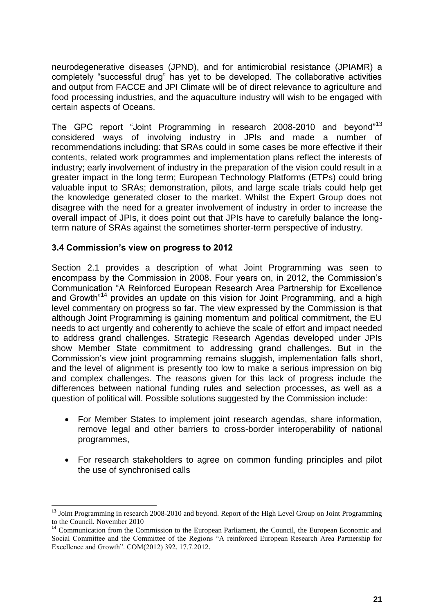neurodegenerative diseases (JPND), and for antimicrobial resistance (JPIAMR) a completely "successful drug" has yet to be developed. The collaborative activities and output from FACCE and JPI Climate will be of direct relevance to agriculture and food processing industries, and the aquaculture industry will wish to be engaged with certain aspects of Oceans.

The GPC report "Joint Programming in research 2008-2010 and beyond"<sup>13</sup> considered ways of involving industry in JPIs and made a number of recommendations including: that SRAs could in some cases be more effective if their contents, related work programmes and implementation plans reflect the interests of industry; early involvement of industry in the preparation of the vision could result in a greater impact in the long term; European Technology Platforms (ETPs) could bring valuable input to SRAs; demonstration, pilots, and large scale trials could help get the knowledge generated closer to the market. Whilst the Expert Group does not disagree with the need for a greater involvement of industry in order to increase the overall impact of JPIs, it does point out that JPIs have to carefully balance the longterm nature of SRAs against the sometimes shorter-term perspective of industry.

#### **3.4 Commission's view on progress to 2012**

 $\overline{a}$ 

Section 2.1 provides a description of what Joint Programming was seen to encompass by the Commission in 2008. Four years on, in 2012, the Commission's Communication "A Reinforced European Research Area Partnership for Excellence and Growth<sup>"14</sup> provides an update on this vision for Joint Programming, and a high level commentary on progress so far. The view expressed by the Commission is that although Joint Programming is gaining momentum and political commitment, the EU needs to act urgently and coherently to achieve the scale of effort and impact needed to address grand challenges. Strategic Research Agendas developed under JPIs show Member State commitment to addressing grand challenges. But in the Commission's view joint programming remains sluggish, implementation falls short, and the level of alignment is presently too low to make a serious impression on big and complex challenges. The reasons given for this lack of progress include the differences between national funding rules and selection processes, as well as a question of political will. Possible solutions suggested by the Commission include:

- For Member States to implement joint research agendas, share information, remove legal and other barriers to cross-border interoperability of national programmes,
- For research stakeholders to agree on common funding principles and pilot the use of synchronised calls

**<sup>13</sup>** Joint Programming in research 2008-2010 and beyond. Report of the High Level Group on Joint Programming to the Council. November 2010

<sup>&</sup>lt;sup>14</sup> Communication from the Commission to the European Parliament, the Council, the European Economic and Social Committee and the Committee of the Regions "A reinforced European Research Area Partnership for Excellence and Growth". COM(2012) 392. 17.7.2012.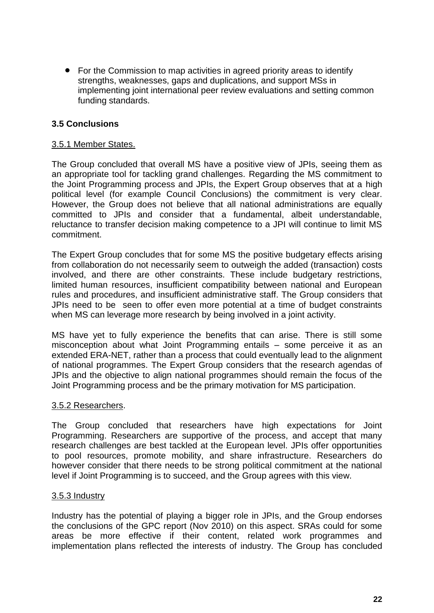• For the Commission to map activities in agreed priority areas to identify strengths, weaknesses, gaps and duplications, and support MSs in implementing joint international peer review evaluations and setting common funding standards.

#### **3.5 Conclusions**

#### 3.5.1 Member States.

The Group concluded that overall MS have a positive view of JPIs, seeing them as an appropriate tool for tackling grand challenges. Regarding the MS commitment to the Joint Programming process and JPIs, the Expert Group observes that at a high political level (for example Council Conclusions) the commitment is very clear. However, the Group does not believe that all national administrations are equally committed to JPIs and consider that a fundamental, albeit understandable, reluctance to transfer decision making competence to a JPI will continue to limit MS commitment.

The Expert Group concludes that for some MS the positive budgetary effects arising from collaboration do not necessarily seem to outweigh the added (transaction) costs involved, and there are other constraints. These include budgetary restrictions, limited human resources, insufficient compatibility between national and European rules and procedures, and insufficient administrative staff. The Group considers that JPIs need to be seen to offer even more potential at a time of budget constraints when MS can leverage more research by being involved in a joint activity.

MS have yet to fully experience the benefits that can arise. There is still some misconception about what Joint Programming entails – some perceive it as an extended ERA-NET, rather than a process that could eventually lead to the alignment of national programmes. The Expert Group considers that the research agendas of JPIs and the objective to align national programmes should remain the focus of the Joint Programming process and be the primary motivation for MS participation.

#### 3.5.2 Researchers.

The Group concluded that researchers have high expectations for Joint Programming. Researchers are supportive of the process, and accept that many research challenges are best tackled at the European level. JPIs offer opportunities to pool resources, promote mobility, and share infrastructure. Researchers do however consider that there needs to be strong political commitment at the national level if Joint Programming is to succeed, and the Group agrees with this view.

#### 3.5.3 Industry

Industry has the potential of playing a bigger role in JPIs, and the Group endorses the conclusions of the GPC report (Nov 2010) on this aspect. SRAs could for some areas be more effective if their content, related work programmes and implementation plans reflected the interests of industry. The Group has concluded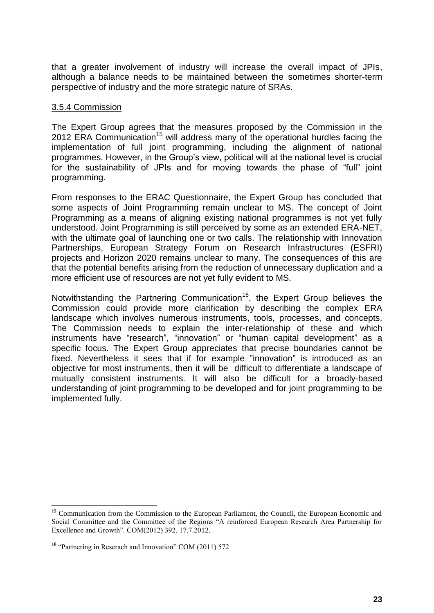that a greater involvement of industry will increase the overall impact of JPIs, although a balance needs to be maintained between the sometimes shorter-term perspective of industry and the more strategic nature of SRAs.

#### 3.5.4 Commission

The Expert Group agrees that the measures proposed by the Commission in the 2012 ERA Communication<sup>15</sup> will address many of the operational hurdles facing the implementation of full joint programming, including the alignment of national programmes. However, in the Group's view, political will at the national level is crucial for the sustainability of JPIs and for moving towards the phase of "full" joint programming.

From responses to the ERAC Questionnaire, the Expert Group has concluded that some aspects of Joint Programming remain unclear to MS. The concept of Joint Programming as a means of aligning existing national programmes is not yet fully understood. Joint Programming is still perceived by some as an extended ERA-NET, with the ultimate goal of launching one or two calls. The relationship with Innovation Partnerships, European Strategy Forum on Research Infrastructures (ESFRI) projects and Horizon 2020 remains unclear to many. The consequences of this are that the potential benefits arising from the reduction of unnecessary duplication and a more efficient use of resources are not yet fully evident to MS.

Notwithstanding the Partnering Communication<sup>16</sup>, the Expert Group believes the Commission could provide more clarification by describing the complex ERA landscape which involves numerous instruments, tools, processes, and concepts. The Commission needs to explain the inter-relationship of these and which instruments have "research", "innovation" or "human capital development" as a specific focus. The Expert Group appreciates that precise boundaries cannot be fixed. Nevertheless it sees that if for example "innovation" is introduced as an objective for most instruments, then it will be difficult to differentiate a landscape of mutually consistent instruments. It will also be difficult for a broadly-based understanding of joint programming to be developed and for joint programming to be implemented fully.

 $\overline{a}$ <sup>15</sup> Communication from the Commission to the European Parliament, the Council, the European Economic and Social Committee and the Committee of the Regions "A reinforced European Research Area Partnership for Excellence and Growth". COM(2012) 392. 17.7.2012.

<sup>&</sup>lt;sup>16</sup> "Partnering in Reserach and Innovation" COM (2011) 572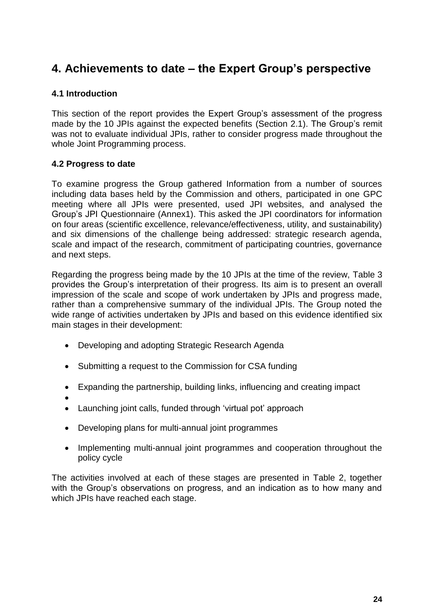### **4. Achievements to date – the Expert Group's perspective**

#### **4.1 Introduction**

This section of the report provides the Expert Group's assessment of the progress made by the 10 JPIs against the expected benefits (Section 2.1). The Group's remit was not to evaluate individual JPIs, rather to consider progress made throughout the whole Joint Programming process.

#### **4.2 Progress to date**

To examine progress the Group gathered Information from a number of sources including data bases held by the Commission and others, participated in one GPC meeting where all JPIs were presented, used JPI websites, and analysed the Group's JPI Questionnaire (Annex1). This asked the JPI coordinators for information on four areas (scientific excellence, relevance/effectiveness, utility, and sustainability) and six dimensions of the challenge being addressed: strategic research agenda, scale and impact of the research, commitment of participating countries, governance and next steps.

Regarding the progress being made by the 10 JPIs at the time of the review, Table 3 provides the Group's interpretation of their progress. Its aim is to present an overall impression of the scale and scope of work undertaken by JPIs and progress made, rather than a comprehensive summary of the individual JPIs. The Group noted the wide range of activities undertaken by JPIs and based on this evidence identified six main stages in their development:

- Developing and adopting Strategic Research Agenda
- Submitting a request to the Commission for CSA funding
- Expanding the partnership, building links, influencing and creating impact
- $\bullet$
- Launching joint calls, funded through 'virtual pot' approach
- Developing plans for multi-annual joint programmes
- Implementing multi-annual joint programmes and cooperation throughout the policy cycle

The activities involved at each of these stages are presented in Table 2, together with the Group's observations on progress, and an indication as to how many and which JPIs have reached each stage.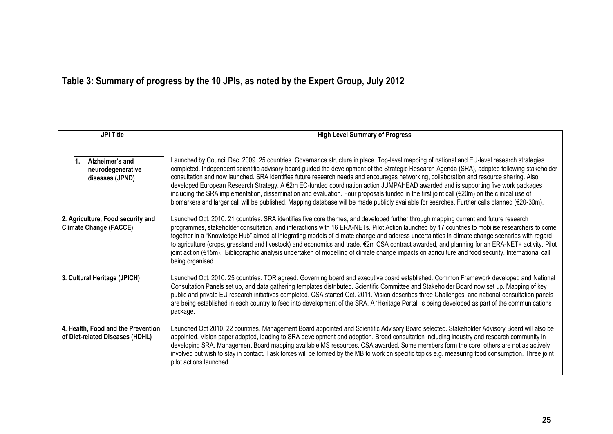# **Table 3: Summary of progress by the 10 JPIs, as noted by the Expert Group, July 2012**

| <b>JPI Title</b>                                                      | <b>High Level Summary of Progress</b>                                                                                                                                                                                                                                                                                                                                                                                                                                                                                                                                                                                                                                                                                                                                                                                                                                      |
|-----------------------------------------------------------------------|----------------------------------------------------------------------------------------------------------------------------------------------------------------------------------------------------------------------------------------------------------------------------------------------------------------------------------------------------------------------------------------------------------------------------------------------------------------------------------------------------------------------------------------------------------------------------------------------------------------------------------------------------------------------------------------------------------------------------------------------------------------------------------------------------------------------------------------------------------------------------|
|                                                                       |                                                                                                                                                                                                                                                                                                                                                                                                                                                                                                                                                                                                                                                                                                                                                                                                                                                                            |
| Alzheimer's and<br>$1_{-}$<br>neurodegenerative<br>diseases (JPND)    | Launched by Council Dec. 2009. 25 countries. Governance structure in place. Top-level mapping of national and EU-level research strategies<br>completed. Independent scientific advisory board guided the development of the Strategic Research Agenda (SRA), adopted following stakeholder<br>consultation and now launched. SRA identifies future research needs and encourages networking, collaboration and resource sharing. Also<br>developed European Research Strategy. A €2m EC-funded coordination action JUMPAHEAD awarded and is supporting five work packages<br>including the SRA implementation, dissemination and evaluation. Four proposals funded in the first joint call (€20m) on the clinical use of<br>biomarkers and larger call will be published. Mapping database will be made publicly available for searches. Further calls planned (€20-30m). |
| 2. Agriculture, Food security and<br><b>Climate Change (FACCE)</b>    | Launched Oct. 2010. 21 countries. SRA identifies five core themes, and developed further through mapping current and future research<br>programmes, stakeholder consultation, and interactions with 16 ERA-NETs. Pilot Action launched by 17 countries to mobilise researchers to come<br>together in a "Knowledge Hub" aimed at integrating models of climate change and address uncertainties in climate change scenarios with regard<br>to agriculture (crops, grassland and livestock) and economics and trade. €2m CSA contract awarded, and planning for an ERA-NET+ activity. Pilot<br>joint action (€15m). Bibliographic analysis undertaken of modelling of climate change impacts on agriculture and food security. International call<br>being organised.                                                                                                       |
| 3. Cultural Heritage (JPICH)                                          | Launched Oct. 2010. 25 countries. TOR agreed. Governing board and executive board established. Common Framework developed and National<br>Consultation Panels set up, and data gathering templates distributed. Scientific Committee and Stakeholder Board now set up. Mapping of key<br>public and private EU research initiatives completed. CSA started Oct. 2011. Vision describes three Challenges, and national consultation panels<br>are being established in each country to feed into development of the SRA. A 'Heritage Portal' is being developed as part of the communications<br>package.                                                                                                                                                                                                                                                                   |
| 4. Health, Food and the Prevention<br>of Diet-related Diseases (HDHL) | Launched Oct 2010. 22 countries. Management Board appointed and Scientific Advisory Board selected. Stakeholder Advisory Board will also be<br>appointed. Vision paper adopted, leading to SRA development and adoption. Broad consultation including industry and research community in<br>developing SRA. Management Board mapping available MS resources. CSA awarded. Some members form the core, others are not as actively<br>involved but wish to stay in contact. Task forces will be formed by the MB to work on specific topics e.g. measuring food consumption. Three joint<br>pilot actions launched.                                                                                                                                                                                                                                                          |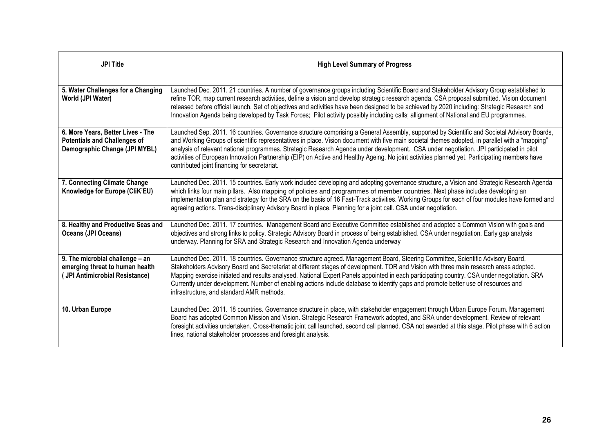| <b>JPI Title</b>                                                                                          | <b>High Level Summary of Progress</b>                                                                                                                                                                                                                                                                                                                                                                                                                                                                                                                                                                                                      |
|-----------------------------------------------------------------------------------------------------------|--------------------------------------------------------------------------------------------------------------------------------------------------------------------------------------------------------------------------------------------------------------------------------------------------------------------------------------------------------------------------------------------------------------------------------------------------------------------------------------------------------------------------------------------------------------------------------------------------------------------------------------------|
| 5. Water Challenges for a Changing<br>World (JPI Water)                                                   | Launched Dec. 2011. 21 countries. A number of governance groups including Scientific Board and Stakeholder Advisory Group established to<br>refine TOR, map current research activities, define a vision and develop strategic research agenda. CSA proposal submitted. Vision document<br>released before official launch. Set of objectives and activities have been designed to be achieved by 2020 including: Strategic Research and<br>Innovation Agenda being developed by Task Forces; Pilot activity possibly including calls; allignment of National and EU programmes.                                                           |
| 6. More Years, Better Lives - The<br><b>Potentials and Challenges of</b><br>Demographic Change (JPI MYBL) | Launched Sep. 2011. 16 countries. Governance structure comprising a General Assembly, supported by Scientific and Societal Advisory Boards,<br>and Working Groups of scientific representatives in place. Vision document with five main societal themes adopted, in parallel with a "mapping"<br>analysis of relevant national programmes. Strategic Research Agenda under development. CSA under negotiation. JPI participated in pilot<br>activities of European Innovation Partnership (EIP) on Active and Healthy Ageing. No joint activities planned yet. Participating members have<br>contributed joint financing for secretariat. |
| 7. Connecting Climate Change<br>Knowledge for Europe (CliK'EU)                                            | Launched Dec. 2011. 15 countries. Early work included developing and adopting governance structure, a Vision and Strategic Research Agenda<br>which links four main pillars. Also mapping of policies and programmes of member countries. Next phase includes developing an<br>implementation plan and strategy for the SRA on the basis of 16 Fast-Track activities. Working Groups for each of four modules have formed and<br>agreeing actions. Trans-disciplinary Advisory Board in place. Planning for a joint call. CSA under negotiation.                                                                                           |
| 8. Healthy and Productive Seas and<br><b>Oceans (JPI Oceans)</b>                                          | Launched Dec. 2011. 17 countries. Management Board and Executive Committee established and adopted a Common Vision with goals and<br>objectives and strong links to policy. Strategic Advisory Board in process of being established. CSA under negotiation. Early gap analysis<br>underway. Planning for SRA and Strategic Research and Innovation Agenda underway                                                                                                                                                                                                                                                                        |
| 9. The microbial challenge - an<br>emerging threat to human health<br>(JPI Antimicrobial Resistance)      | Launched Dec. 2011. 18 countries. Governance structure agreed. Management Board, Steering Committee, Scientific Advisory Board,<br>Stakeholders Advisory Board and Secretariat at different stages of development. TOR and Vision with three main research areas adopted.<br>Mapping exercise initiated and results analysed. National Expert Panels appointed in each participating country. CSA under negotiation. SRA<br>Currently under development. Number of enabling actions include database to identify gaps and promote better use of resources and<br>infrastructure, and standard AMR methods.                                 |
| 10. Urban Europe                                                                                          | Launched Dec. 2011. 18 countries. Governance structure in place, with stakeholder engagement through Urban Europe Forum. Management<br>Board has adopted Common Mission and Vision. Strategic Research Framework adopted, and SRA under development. Review of relevant<br>foresight activities undertaken. Cross-thematic joint call launched, second call planned. CSA not awarded at this stage. Pilot phase with 6 action<br>lines, national stakeholder processes and foresight analysis.                                                                                                                                             |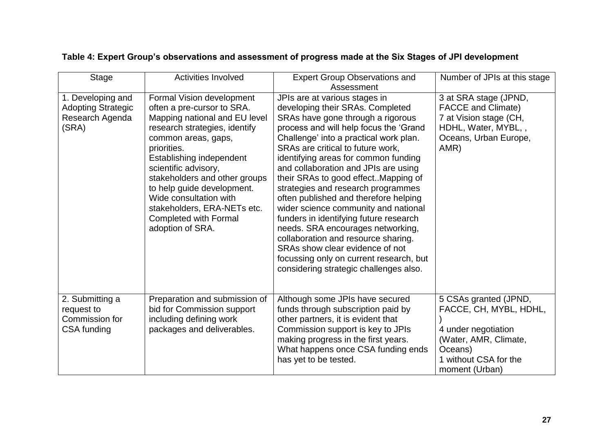| <b>Stage</b>                                                               | <b>Activities Involved</b>                                                                                                                                                                                                                                                                                                                                                                      | <b>Expert Group Observations and</b><br>Assessment                                                                                                                                                                                                                                                                                                                                                                                                                                                                                                                                                                                                                                                                            | Number of JPIs at this stage                                                                                                                          |
|----------------------------------------------------------------------------|-------------------------------------------------------------------------------------------------------------------------------------------------------------------------------------------------------------------------------------------------------------------------------------------------------------------------------------------------------------------------------------------------|-------------------------------------------------------------------------------------------------------------------------------------------------------------------------------------------------------------------------------------------------------------------------------------------------------------------------------------------------------------------------------------------------------------------------------------------------------------------------------------------------------------------------------------------------------------------------------------------------------------------------------------------------------------------------------------------------------------------------------|-------------------------------------------------------------------------------------------------------------------------------------------------------|
| 1. Developing and<br><b>Adopting Strategic</b><br>Research Agenda<br>(SRA) | Formal Vision development<br>often a pre-cursor to SRA.<br>Mapping national and EU level<br>research strategies, identify<br>common areas, gaps,<br>priorities.<br>Establishing independent<br>scientific advisory,<br>stakeholders and other groups<br>to help guide development.<br>Wide consultation with<br>stakeholders, ERA-NETs etc.<br><b>Completed with Formal</b><br>adoption of SRA. | JPIs are at various stages in<br>developing their SRAs. Completed<br>SRAs have gone through a rigorous<br>process and will help focus the 'Grand<br>Challenge' into a practical work plan.<br>SRAs are critical to future work,<br>identifying areas for common funding<br>and collaboration and JPIs are using<br>their SRAs to good effect. Mapping of<br>strategies and research programmes<br>often published and therefore helping<br>wider science community and national<br>funders in identifying future research<br>needs. SRA encourages networking,<br>collaboration and resource sharing.<br>SRAs show clear evidence of not<br>focussing only on current research, but<br>considering strategic challenges also. | 3 at SRA stage (JPND,<br><b>FACCE</b> and Climate)<br>7 at Vision stage (CH,<br>HDHL, Water, MYBL,,<br>Oceans, Urban Europe,<br>AMR)                  |
| 2. Submitting a<br>request to<br>Commission for<br>CSA funding             | Preparation and submission of<br>bid for Commission support<br>including defining work<br>packages and deliverables.                                                                                                                                                                                                                                                                            | Although some JPIs have secured<br>funds through subscription paid by<br>other partners, it is evident that<br>Commission support is key to JPIs<br>making progress in the first years.<br>What happens once CSA funding ends<br>has yet to be tested.                                                                                                                                                                                                                                                                                                                                                                                                                                                                        | 5 CSAs granted (JPND,<br>FACCE, CH, MYBL, HDHL,<br>4 under negotiation<br>(Water, AMR, Climate,<br>Oceans)<br>1 without CSA for the<br>moment (Urban) |

### **Table 4: Expert Group's observations and assessment of progress made at the Six Stages of JPI development**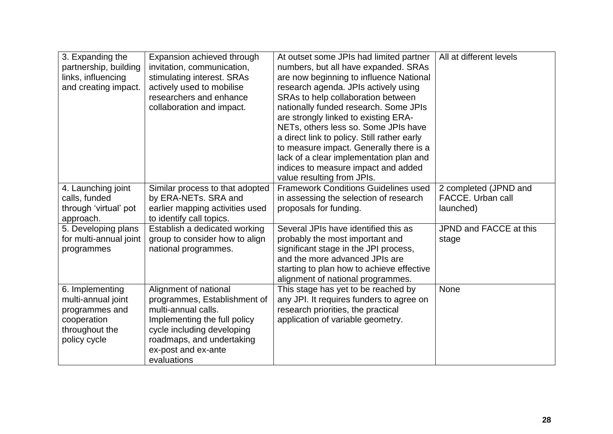| 3. Expanding the<br>partnership, building<br>links, influencing<br>and creating impact.                  | Expansion achieved through<br>invitation, communication,<br>stimulating interest. SRAs<br>actively used to mobilise<br>researchers and enhance<br>collaboration and impact.                                   | At outset some JPIs had limited partner<br>numbers, but all have expanded. SRAs<br>are now beginning to influence National<br>research agenda. JPIs actively using<br>SRAs to help collaboration between<br>nationally funded research. Some JPIs<br>are strongly linked to existing ERA-<br>NETs, others less so. Some JPIs have<br>a direct link to policy. Still rather early<br>to measure impact. Generally there is a<br>lack of a clear implementation plan and<br>indices to measure impact and added<br>value resulting from JPIs. | All at different levels                                 |
|----------------------------------------------------------------------------------------------------------|---------------------------------------------------------------------------------------------------------------------------------------------------------------------------------------------------------------|---------------------------------------------------------------------------------------------------------------------------------------------------------------------------------------------------------------------------------------------------------------------------------------------------------------------------------------------------------------------------------------------------------------------------------------------------------------------------------------------------------------------------------------------|---------------------------------------------------------|
| 4. Launching joint<br>calls, funded<br>through 'virtual' pot<br>approach.                                | Similar process to that adopted<br>by ERA-NETs. SRA and<br>earlier mapping activities used<br>to identify call topics.                                                                                        | <b>Framework Conditions Guidelines used</b><br>in assessing the selection of research<br>proposals for funding.                                                                                                                                                                                                                                                                                                                                                                                                                             | 2 completed (JPND and<br>FACCE. Urban call<br>launched) |
| 5. Developing plans<br>for multi-annual joint<br>programmes                                              | Establish a dedicated working<br>group to consider how to align<br>national programmes.                                                                                                                       | Several JPIs have identified this as<br>probably the most important and<br>significant stage in the JPI process,<br>and the more advanced JPIs are<br>starting to plan how to achieve effective<br>alignment of national programmes.                                                                                                                                                                                                                                                                                                        | JPND and FACCE at this<br>stage                         |
| 6. Implementing<br>multi-annual joint<br>programmes and<br>cooperation<br>throughout the<br>policy cycle | Alignment of national<br>programmes, Establishment of<br>multi-annual calls.<br>Implementing the full policy<br>cycle including developing<br>roadmaps, and undertaking<br>ex-post and ex-ante<br>evaluations | This stage has yet to be reached by<br>any JPI. It requires funders to agree on<br>research priorities, the practical<br>application of variable geometry.                                                                                                                                                                                                                                                                                                                                                                                  | None                                                    |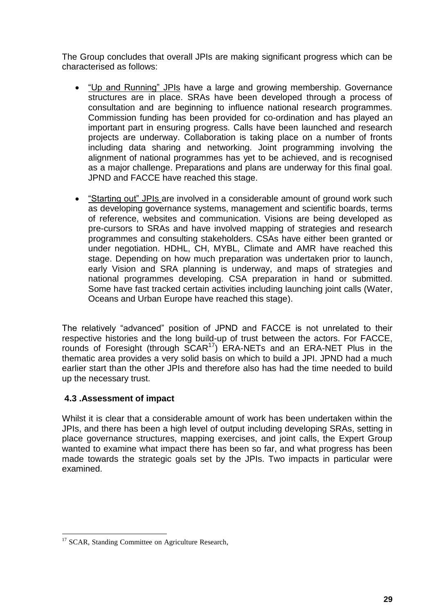The Group concludes that overall JPIs are making significant progress which can be characterised as follows:

- "Up and Running" JPIs have a large and growing membership. Governance structures are in place. SRAs have been developed through a process of consultation and are beginning to influence national research programmes. Commission funding has been provided for co-ordination and has played an important part in ensuring progress. Calls have been launched and research projects are underway. Collaboration is taking place on a number of fronts including data sharing and networking. Joint programming involving the alignment of national programmes has yet to be achieved, and is recognised as a major challenge. Preparations and plans are underway for this final goal. JPND and FACCE have reached this stage.
- "Starting out" JPIs are involved in a considerable amount of ground work such as developing governance systems, management and scientific boards, terms of reference, websites and communication. Visions are being developed as pre-cursors to SRAs and have involved mapping of strategies and research programmes and consulting stakeholders. CSAs have either been granted or under negotiation. HDHL, CH, MYBL, Climate and AMR have reached this stage. Depending on how much preparation was undertaken prior to launch, early Vision and SRA planning is underway, and maps of strategies and national programmes developing. CSA preparation in hand or submitted. Some have fast tracked certain activities including launching joint calls (Water, Oceans and Urban Europe have reached this stage).

The relatively "advanced" position of JPND and FACCE is not unrelated to their respective histories and the long build-up of trust between the actors. For FACCE, rounds of Foresight (through SCAR<sup>17</sup>) ERA-NETs and an ERA-NET Plus in the thematic area provides a very solid basis on which to build a JPI. JPND had a much earlier start than the other JPIs and therefore also has had the time needed to build up the necessary trust.

#### **4.3 .Assessment of impact**

<u>.</u>

Whilst it is clear that a considerable amount of work has been undertaken within the JPIs, and there has been a high level of output including developing SRAs, setting in place governance structures, mapping exercises, and joint calls, the Expert Group wanted to examine what impact there has been so far, and what progress has been made towards the strategic goals set by the JPIs. Two impacts in particular were examined.

<sup>&</sup>lt;sup>17</sup> SCAR, Standing Committee on Agriculture Research,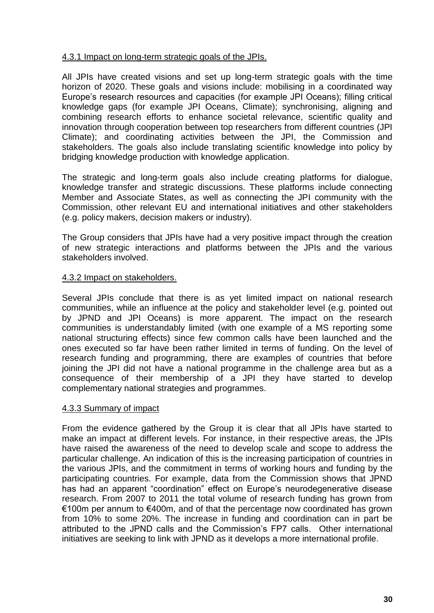#### 4.3.1 Impact on long-term strategic goals of the JPIs.

All JPIs have created visions and set up long-term strategic goals with the time horizon of 2020. These goals and visions include: mobilising in a coordinated way Europe's research resources and capacities (for example JPI Oceans); filling critical knowledge gaps (for example JPI Oceans, Climate); synchronising, aligning and combining research efforts to enhance societal relevance, scientific quality and innovation through cooperation between top researchers from different countries (JPI Climate); and coordinating activities between the JPI, the Commission and stakeholders. The goals also include translating scientific knowledge into policy by bridging knowledge production with knowledge application.

The strategic and long-term goals also include creating platforms for dialogue, knowledge transfer and strategic discussions. These platforms include connecting Member and Associate States, as well as connecting the JPI community with the Commission, other relevant EU and international initiatives and other stakeholders (e.g. policy makers, decision makers or industry).

The Group considers that JPIs have had a very positive impact through the creation of new strategic interactions and platforms between the JPIs and the various stakeholders involved.

#### 4.3.2 Impact on stakeholders.

Several JPIs conclude that there is as yet limited impact on national research communities, while an influence at the policy and stakeholder level (e.g. pointed out by JPND and JPI Oceans) is more apparent. The impact on the research communities is understandably limited (with one example of a MS reporting some national structuring effects) since few common calls have been launched and the ones executed so far have been rather limited in terms of funding. On the level of research funding and programming, there are examples of countries that before joining the JPI did not have a national programme in the challenge area but as a consequence of their membership of a JPI they have started to develop complementary national strategies and programmes.

#### 4.3.3 Summary of impact

From the evidence gathered by the Group it is clear that all JPIs have started to make an impact at different levels. For instance, in their respective areas, the JPIs have raised the awareness of the need to develop scale and scope to address the particular challenge. An indication of this is the increasing participation of countries in the various JPIs, and the commitment in terms of working hours and funding by the participating countries. For example, data from the Commission shows that JPND has had an apparent "coordination" effect on Europe's neurodegenerative disease research. From 2007 to 2011 the total volume of research funding has grown from €100m per annum to €400m, and of that the percentage now coordinated has grown from 10% to some 20%. The increase in funding and coordination can in part be attributed to the JPND calls and the Commission's FP7 calls. Other international initiatives are seeking to link with JPND as it develops a more international profile.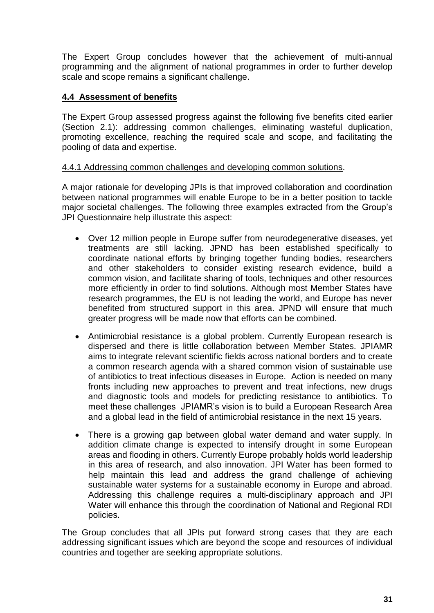The Expert Group concludes however that the achievement of multi-annual programming and the alignment of national programmes in order to further develop scale and scope remains a significant challenge.

#### **4.4 Assessment of benefits**

The Expert Group assessed progress against the following five benefits cited earlier (Section 2.1): addressing common challenges, eliminating wasteful duplication, promoting excellence, reaching the required scale and scope, and facilitating the pooling of data and expertise.

#### 4.4.1 Addressing common challenges and developing common solutions.

A major rationale for developing JPIs is that improved collaboration and coordination between national programmes will enable Europe to be in a better position to tackle major societal challenges. The following three examples extracted from the Group's JPI Questionnaire help illustrate this aspect:

- Over 12 million people in Europe suffer from neurodegenerative diseases, yet treatments are still lacking. JPND has been established specifically to coordinate national efforts by bringing together funding bodies, researchers and other stakeholders to consider existing research evidence, build a common vision, and facilitate sharing of tools, techniques and other resources more efficiently in order to find solutions. Although most Member States have research programmes, the EU is not leading the world, and Europe has never benefited from structured support in this area. JPND will ensure that much greater progress will be made now that efforts can be combined.
- Antimicrobial resistance is a global problem. Currently European research is dispersed and there is little collaboration between Member States. JPIAMR aims to integrate relevant scientific fields across national borders and to create a common research agenda with a shared common vision of sustainable use of antibiotics to treat infectious diseases in Europe. Action is needed on many fronts including new approaches to prevent and treat infections, new drugs and diagnostic tools and models for predicting resistance to antibiotics. To meet these challenges JPIAMR's vision is to build a European Research Area and a global lead in the field of antimicrobial resistance in the next 15 years.
- There is a growing gap between global water demand and water supply. In addition climate change is expected to intensify drought in some European areas and flooding in others. Currently Europe probably holds world leadership in this area of research, and also innovation. JPI Water has been formed to help maintain this lead and address the grand challenge of achieving sustainable water systems for a sustainable economy in Europe and abroad. Addressing this challenge requires a multi-disciplinary approach and JPI Water will enhance this through the coordination of National and Regional RDI policies.

The Group concludes that all JPIs put forward strong cases that they are each addressing significant issues which are beyond the scope and resources of individual countries and together are seeking appropriate solutions.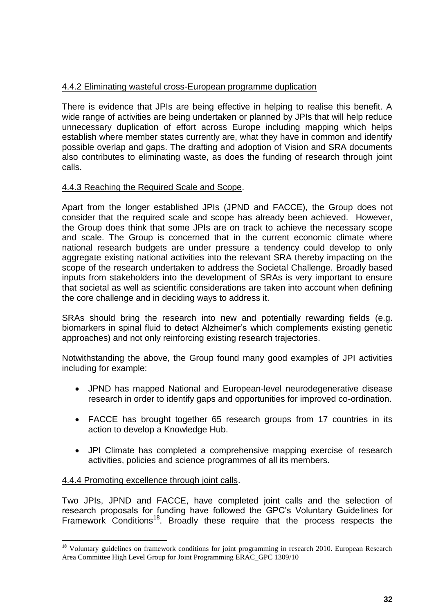#### 4.4.2 Eliminating wasteful cross-European programme duplication

There is evidence that JPIs are being effective in helping to realise this benefit. A wide range of activities are being undertaken or planned by JPIs that will help reduce unnecessary duplication of effort across Europe including mapping which helps establish where member states currently are, what they have in common and identify possible overlap and gaps. The drafting and adoption of Vision and SRA documents also contributes to eliminating waste, as does the funding of research through joint calls.

#### 4.4.3 Reaching the Required Scale and Scope.

Apart from the longer established JPIs (JPND and FACCE), the Group does not consider that the required scale and scope has already been achieved. However, the Group does think that some JPIs are on track to achieve the necessary scope and scale. The Group is concerned that in the current economic climate where national research budgets are under pressure a tendency could develop to only aggregate existing national activities into the relevant SRA thereby impacting on the scope of the research undertaken to address the Societal Challenge. Broadly based inputs from stakeholders into the development of SRAs is very important to ensure that societal as well as scientific considerations are taken into account when defining the core challenge and in deciding ways to address it.

SRAs should bring the research into new and potentially rewarding fields (e.g. biomarkers in spinal fluid to detect Alzheimer's which complements existing genetic approaches) and not only reinforcing existing research trajectories.

Notwithstanding the above, the Group found many good examples of JPI activities including for example:

- JPND has mapped National and European-level neurodegenerative disease research in order to identify gaps and opportunities for improved co-ordination.
- FACCE has brought together 65 research groups from 17 countries in its action to develop a Knowledge Hub.
- JPI Climate has completed a comprehensive mapping exercise of research activities, policies and science programmes of all its members.

#### 4.4.4 Promoting excellence through joint calls.

1

Two JPIs, JPND and FACCE, have completed joint calls and the selection of research proposals for funding have followed the GPC's Voluntary Guidelines for Framework Conditions<sup>18</sup>. Broadly these require that the process respects the

<sup>&</sup>lt;sup>18</sup> Voluntary guidelines on framework conditions for joint programming in research 2010. European Research Area Committee High Level Group for Joint Programming ERAC\_GPC 1309/10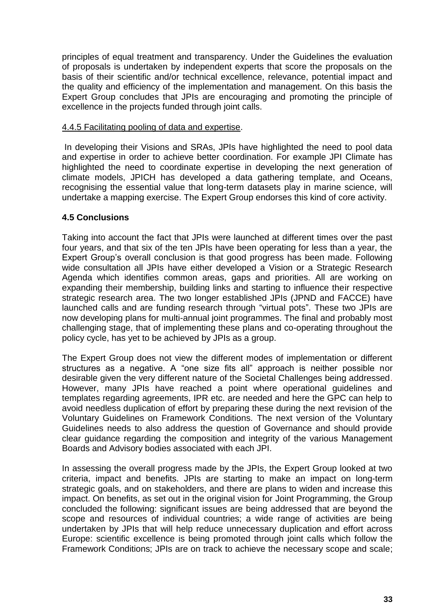principles of equal treatment and transparency. Under the Guidelines the evaluation of proposals is undertaken by independent experts that score the proposals on the basis of their scientific and/or technical excellence, relevance, potential impact and the quality and efficiency of the implementation and management. On this basis the Expert Group concludes that JPIs are encouraging and promoting the principle of excellence in the projects funded through joint calls.

#### 4.4.5 Facilitating pooling of data and expertise.

In developing their Visions and SRAs, JPIs have highlighted the need to pool data and expertise in order to achieve better coordination. For example JPI Climate has highlighted the need to coordinate expertise in developing the next generation of climate models, JPICH has developed a data gathering template, and Oceans, recognising the essential value that long-term datasets play in marine science, will undertake a mapping exercise. The Expert Group endorses this kind of core activity.

#### **4.5 Conclusions**

Taking into account the fact that JPIs were launched at different times over the past four years, and that six of the ten JPIs have been operating for less than a year, the Expert Group's overall conclusion is that good progress has been made. Following wide consultation all JPIs have either developed a Vision or a Strategic Research Agenda which identifies common areas, gaps and priorities. All are working on expanding their membership, building links and starting to influence their respective strategic research area. The two longer established JPIs (JPND and FACCE) have launched calls and are funding research through "virtual pots". These two JPIs are now developing plans for multi-annual joint programmes. The final and probably most challenging stage, that of implementing these plans and co-operating throughout the policy cycle, has yet to be achieved by JPIs as a group.

The Expert Group does not view the different modes of implementation or different structures as a negative. A "one size fits all" approach is neither possible nor desirable given the very different nature of the Societal Challenges being addressed. However, many JPIs have reached a point where operational guidelines and templates regarding agreements, IPR etc. are needed and here the GPC can help to avoid needless duplication of effort by preparing these during the next revision of the Voluntary Guidelines on Framework Conditions. The next version of the Voluntary Guidelines needs to also address the question of Governance and should provide clear guidance regarding the composition and integrity of the various Management Boards and Advisory bodies associated with each JPI.

In assessing the overall progress made by the JPIs, the Expert Group looked at two criteria, impact and benefits. JPIs are starting to make an impact on long-term strategic goals, and on stakeholders, and there are plans to widen and increase this impact. On benefits, as set out in the original vision for Joint Programming, the Group concluded the following: significant issues are being addressed that are beyond the scope and resources of individual countries; a wide range of activities are being undertaken by JPIs that will help reduce unnecessary duplication and effort across Europe: scientific excellence is being promoted through joint calls which follow the Framework Conditions; JPIs are on track to achieve the necessary scope and scale;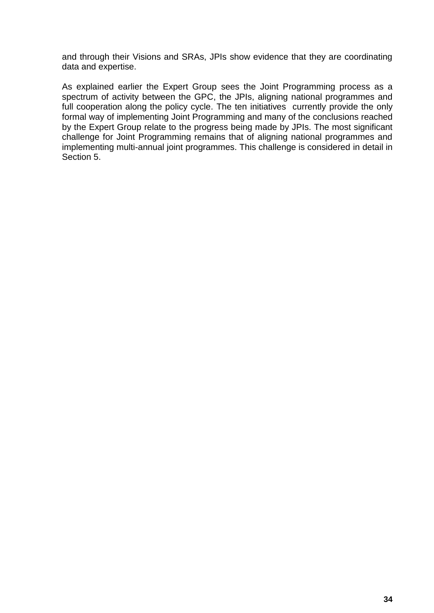and through their Visions and SRAs, JPIs show evidence that they are coordinating data and expertise.

As explained earlier the Expert Group sees the Joint Programming process as a spectrum of activity between the GPC, the JPIs, aligning national programmes and full cooperation along the policy cycle. The ten initiatives currently provide the only formal way of implementing Joint Programming and many of the conclusions reached by the Expert Group relate to the progress being made by JPIs. The most significant challenge for Joint Programming remains that of aligning national programmes and implementing multi-annual joint programmes. This challenge is considered in detail in Section 5.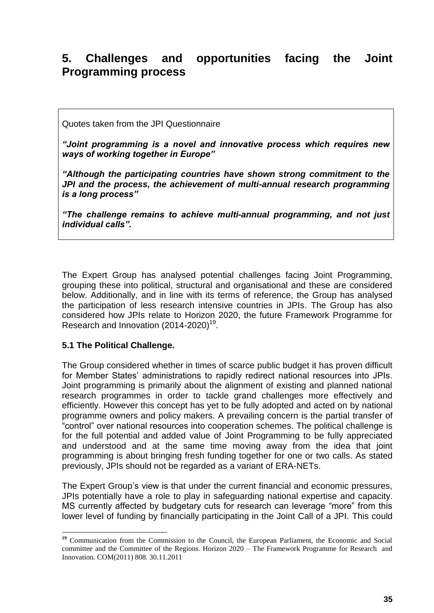## **5. Challenges and opportunities facing the Joint Programming process**

Quotes taken from the JPI Questionnaire

*"Joint programming is a novel and innovative process which requires new ways of working together in Europe"*

*"Although the participating countries have shown strong commitment to the JPI and the process, the achievement of multi-annual research programming is a long process"*

*"The challenge remains to achieve multi-annual programming, and not just individual calls".* 

The Expert Group has analysed potential challenges facing Joint Programming, grouping these into political, structural and organisational and these are considered below. Additionally, and in line with its terms of reference, the Group has analysed the participation of less research intensive countries in JPIs. The Group has also considered how JPIs relate to Horizon 2020, the future Framework Programme for Research and Innovation  $(2014-2020)^{19}$ .

#### **5.1 The Political Challenge.**

1

The Group considered whether in times of scarce public budget it has proven difficult for Member States' administrations to rapidly redirect national resources into JPIs. Joint programming is primarily about the alignment of existing and planned national research programmes in order to tackle grand challenges more effectively and efficiently. However this concept has yet to be fully adopted and acted on by national programme owners and policy makers. A prevailing concern is the partial transfer of "control" over national resources into cooperation schemes. The political challenge is for the full potential and added value of Joint Programming to be fully appreciated and understood and at the same time moving away from the idea that joint programming is about bringing fresh funding together for one or two calls. As stated previously, JPIs should not be regarded as a variant of ERA-NETs.

The Expert Group's view is that under the current financial and economic pressures, JPIs potentially have a role to play in safeguarding national expertise and capacity. MS currently affected by budgetary cuts for research can leverage "more" from this lower level of funding by financially participating in the Joint Call of a JPI. This could

<sup>&</sup>lt;sup>19</sup> Communication from the Commission to the Council, the European Parliament, the Economic and Social committee and the Committee of the Regions. Horizon 2020 – The Framework Programme for Research and Innovation. COM(2011) 808. 30.11.2011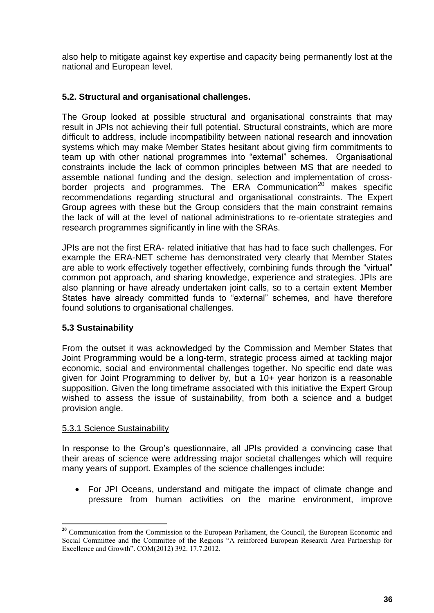also help to mitigate against key expertise and capacity being permanently lost at the national and European level.

#### **5.2. Structural and organisational challenges.**

The Group looked at possible structural and organisational constraints that may result in JPIs not achieving their full potential. Structural constraints, which are more difficult to address, include incompatibility between national research and innovation systems which may make Member States hesitant about giving firm commitments to team up with other national programmes into "external" schemes. Organisational constraints include the lack of common principles between MS that are needed to assemble national funding and the design, selection and implementation of crossborder projects and programmes. The ERA Communication<sup>20</sup> makes specific recommendations regarding structural and organisational constraints. The Expert Group agrees with these but the Group considers that the main constraint remains the lack of will at the level of national administrations to re-orientate strategies and research programmes significantly in line with the SRAs.

JPIs are not the first ERA- related initiative that has had to face such challenges. For example the ERA-NET scheme has demonstrated very clearly that Member States are able to work effectively together effectively, combining funds through the "virtual" common pot approach, and sharing knowledge, experience and strategies. JPIs are also planning or have already undertaken joint calls, so to a certain extent Member States have already committed funds to "external" schemes, and have therefore found solutions to organisational challenges.

#### **5.3 Sustainability**

From the outset it was acknowledged by the Commission and Member States that Joint Programming would be a long-term, strategic process aimed at tackling major economic, social and environmental challenges together. No specific end date was given for Joint Programming to deliver by, but a 10+ year horizon is a reasonable supposition. Given the long timeframe associated with this initiative the Expert Group wished to assess the issue of sustainability, from both a science and a budget provision angle.

#### 5.3.1 Science Sustainability

In response to the Group's questionnaire, all JPIs provided a convincing case that their areas of science were addressing major societal challenges which will require many years of support. Examples of the science challenges include:

 For JPI Oceans, understand and mitigate the impact of climate change and pressure from human activities on the marine environment, improve

<sup>1</sup> <sup>20</sup> Communication from the Commission to the European Parliament, the Council, the European Economic and Social Committee and the Committee of the Regions "A reinforced European Research Area Partnership for Excellence and Growth". COM(2012) 392. 17.7.2012.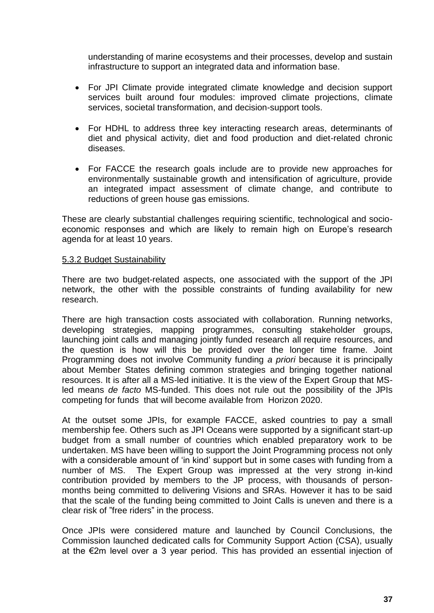understanding of marine ecosystems and their processes, develop and sustain infrastructure to support an integrated data and information base.

- For JPI Climate provide integrated climate knowledge and decision support services built around four modules: improved climate projections, climate services, societal transformation, and decision-support tools.
- For HDHL to address three key interacting research areas, determinants of diet and physical activity, diet and food production and diet-related chronic diseases.
- For FACCE the research goals include are to provide new approaches for environmentally sustainable growth and intensification of agriculture, provide an integrated impact assessment of climate change, and contribute to reductions of green house gas emissions.

These are clearly substantial challenges requiring scientific, technological and socioeconomic responses and which are likely to remain high on Europe's research agenda for at least 10 years.

#### 5.3.2 Budget Sustainability

There are two budget-related aspects, one associated with the support of the JPI network, the other with the possible constraints of funding availability for new research.

There are high transaction costs associated with collaboration. Running networks, developing strategies, mapping programmes, consulting stakeholder groups, launching joint calls and managing jointly funded research all require resources, and the question is how will this be provided over the longer time frame. Joint Programming does not involve Community funding *a priori* because it is principally about Member States defining common strategies and bringing together national resources. It is after all a MS-led initiative. It is the view of the Expert Group that MSled means *de facto* MS-funded. This does not rule out the possibility of the JPIs competing for funds that will become available from Horizon 2020.

At the outset some JPIs, for example FACCE, asked countries to pay a small membership fee. Others such as JPI Oceans were supported by a significant start-up budget from a small number of countries which enabled preparatory work to be undertaken. MS have been willing to support the Joint Programming process not only with a considerable amount of 'in kind' support but in some cases with funding from a number of MS. The Expert Group was impressed at the very strong in-kind contribution provided by members to the JP process, with thousands of personmonths being committed to delivering Visions and SRAs. However it has to be said that the scale of the funding being committed to Joint Calls is uneven and there is a clear risk of "free riders" in the process.

Once JPIs were considered mature and launched by Council Conclusions, the Commission launched dedicated calls for Community Support Action (CSA), usually at the €2m level over a 3 year period. This has provided an essential injection of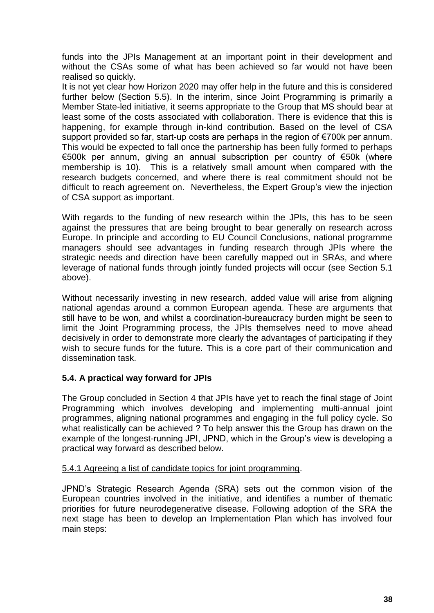funds into the JPIs Management at an important point in their development and without the CSAs some of what has been achieved so far would not have been realised so quickly.

It is not yet clear how Horizon 2020 may offer help in the future and this is considered further below (Section 5.5). In the interim, since Joint Programming is primarily a Member State-led initiative, it seems appropriate to the Group that MS should bear at least some of the costs associated with collaboration. There is evidence that this is happening, for example through in-kind contribution. Based on the level of CSA support provided so far, start-up costs are perhaps in the region of €700k per annum. This would be expected to fall once the partnership has been fully formed to perhaps €500k per annum, giving an annual subscription per country of €50k (where membership is 10). This is a relatively small amount when compared with the research budgets concerned, and where there is real commitment should not be difficult to reach agreement on. Nevertheless, the Expert Group's view the injection of CSA support as important.

With regards to the funding of new research within the JPIs, this has to be seen against the pressures that are being brought to bear generally on research across Europe. In principle and according to EU Council Conclusions, national programme managers should see advantages in funding research through JPIs where the strategic needs and direction have been carefully mapped out in SRAs, and where leverage of national funds through jointly funded projects will occur (see Section 5.1 above).

Without necessarily investing in new research, added value will arise from aligning national agendas around a common European agenda. These are arguments that still have to be won, and whilst a coordination-bureaucracy burden might be seen to limit the Joint Programming process, the JPIs themselves need to move ahead decisively in order to demonstrate more clearly the advantages of participating if they wish to secure funds for the future. This is a core part of their communication and dissemination task.

#### **5.4. A practical way forward for JPIs**

The Group concluded in Section 4 that JPIs have yet to reach the final stage of Joint Programming which involves developing and implementing multi-annual joint programmes, aligning national programmes and engaging in the full policy cycle. So what realistically can be achieved ? To help answer this the Group has drawn on the example of the longest-running JPI, JPND, which in the Group's view is developing a practical way forward as described below.

#### 5.4.1 Agreeing a list of candidate topics for joint programming.

JPND's Strategic Research Agenda (SRA) sets out the common vision of the European countries involved in the initiative, and identifies a number of thematic priorities for future neurodegenerative disease. Following adoption of the SRA the next stage has been to develop an Implementation Plan which has involved four main steps: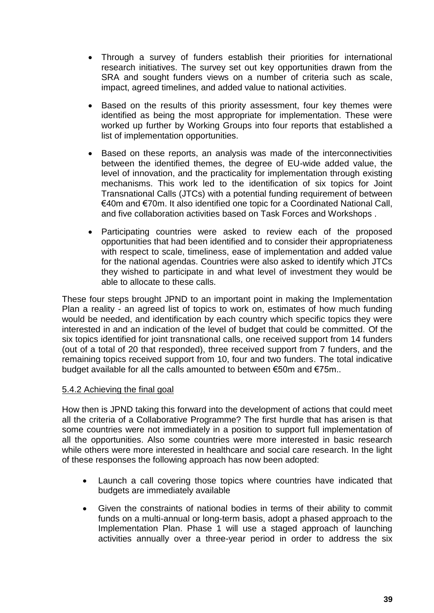- Through a survey of funders establish their priorities for international research initiatives. The survey set out key opportunities drawn from the SRA and sought funders views on a number of criteria such as scale, impact, agreed timelines, and added value to national activities.
- Based on the results of this priority assessment, four key themes were identified as being the most appropriate for implementation. These were worked up further by Working Groups into four reports that established a list of implementation opportunities.
- Based on these reports, an analysis was made of the interconnectivities between the identified themes, the degree of EU-wide added value, the level of innovation, and the practicality for implementation through existing mechanisms. This work led to the identification of six topics for Joint Transnational Calls (JTCs) with a potential funding requirement of between €40m and €70m. It also identified one topic for a Coordinated National Call, and five collaboration activities based on Task Forces and Workshops .
- Participating countries were asked to review each of the proposed opportunities that had been identified and to consider their appropriateness with respect to scale, timeliness, ease of implementation and added value for the national agendas. Countries were also asked to identify which JTCs they wished to participate in and what level of investment they would be able to allocate to these calls.

These four steps brought JPND to an important point in making the Implementation Plan a reality - an agreed list of topics to work on, estimates of how much funding would be needed, and identification by each country which specific topics they were interested in and an indication of the level of budget that could be committed. Of the six topics identified for joint transnational calls, one received support from 14 funders (out of a total of 20 that responded), three received support from 7 funders, and the remaining topics received support from 10, four and two funders. The total indicative budget available for all the calls amounted to between €50m and €75m..

#### 5.4.2 Achieving the final goal

How then is JPND taking this forward into the development of actions that could meet all the criteria of a Collaborative Programme? The first hurdle that has arisen is that some countries were not immediately in a position to support full implementation of all the opportunities. Also some countries were more interested in basic research while others were more interested in healthcare and social care research. In the light of these responses the following approach has now been adopted:

- Launch a call covering those topics where countries have indicated that budgets are immediately available
- Given the constraints of national bodies in terms of their ability to commit funds on a multi-annual or long-term basis, adopt a phased approach to the Implementation Plan. Phase 1 will use a staged approach of launching activities annually over a three-year period in order to address the six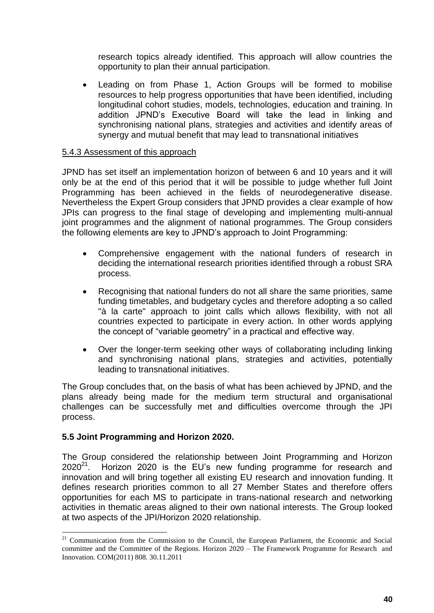research topics already identified. This approach will allow countries the opportunity to plan their annual participation.

 Leading on from Phase 1, Action Groups will be formed to mobilise resources to help progress opportunities that have been identified, including longitudinal cohort studies, models, technologies, education and training. In addition JPND's Executive Board will take the lead in linking and synchronising national plans, strategies and activities and identify areas of synergy and mutual benefit that may lead to transnational initiatives

#### 5.4.3 Assessment of this approach

JPND has set itself an implementation horizon of between 6 and 10 years and it will only be at the end of this period that it will be possible to judge whether full Joint Programming has been achieved in the fields of neurodegenerative disease. Nevertheless the Expert Group considers that JPND provides a clear example of how JPIs can progress to the final stage of developing and implementing multi-annual joint programmes and the alignment of national programmes. The Group considers the following elements are key to JPND's approach to Joint Programming:

- Comprehensive engagement with the national funders of research in deciding the international research priorities identified through a robust SRA process.
- Recognising that national funders do not all share the same priorities, same funding timetables, and budgetary cycles and therefore adopting a so called "à la carte" approach to joint calls which allows flexibility, with not all countries expected to participate in every action. In other words applying the concept of "variable geometry" in a practical and effective way.
- Over the longer-term seeking other ways of collaborating including linking and synchronising national plans, strategies and activities, potentially leading to transnational initiatives.

The Group concludes that, on the basis of what has been achieved by JPND, and the plans already being made for the medium term structural and organisational challenges can be successfully met and difficulties overcome through the JPI process.

#### **5.5 Joint Programming and Horizon 2020.**

1

The Group considered the relationship between Joint Programming and Horizon  $2020^{21}$ . Horizon 2020 is the EU's new funding programme for research and innovation and will bring together all existing EU research and innovation funding. It defines research priorities common to all 27 Member States and therefore offers opportunities for each MS to participate in trans-national research and networking activities in thematic areas aligned to their own national interests. The Group looked at two aspects of the JPI/Horizon 2020 relationship.

<sup>&</sup>lt;sup>21</sup> Communication from the Commission to the Council, the European Parliament, the Economic and Social committee and the Committee of the Regions. Horizon 2020 – The Framework Programme for Research and Innovation. COM(2011) 808. 30.11.2011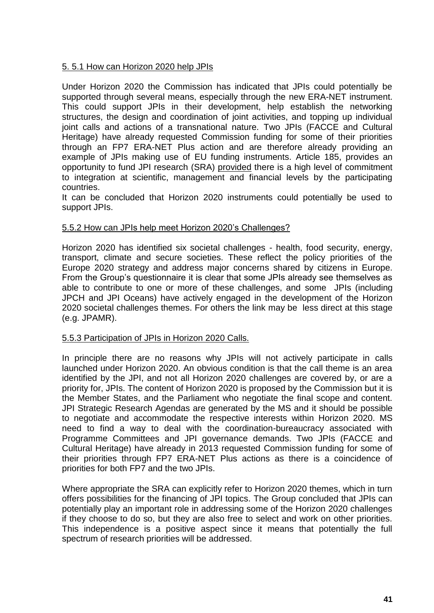#### 5. 5.1 How can Horizon 2020 help JPIs

Under Horizon 2020 the Commission has indicated that JPIs could potentially be supported through several means, especially through the new ERA-NET instrument. This could support JPIs in their development, help establish the networking structures, the design and coordination of joint activities, and topping up individual joint calls and actions of a transnational nature. Two JPIs (FACCE and Cultural Heritage) have already requested Commission funding for some of their priorities through an FP7 ERA-NET Plus action and are therefore already providing an example of JPIs making use of EU funding instruments. Article 185, provides an opportunity to fund JPI research (SRA) provided there is a high level of commitment to integration at scientific, management and financial levels by the participating countries.

It can be concluded that Horizon 2020 instruments could potentially be used to support JPIs.

#### 5.5.2 How can JPIs help meet Horizon 2020's Challenges?

Horizon 2020 has identified six societal challenges - health, food security, energy, transport, climate and secure societies. These reflect the policy priorities of the Europe 2020 strategy and address major concerns shared by citizens in Europe. From the Group's questionnaire it is clear that some JPIs already see themselves as able to contribute to one or more of these challenges, and some JPIs (including JPCH and JPI Oceans) have actively engaged in the development of the Horizon 2020 societal challenges themes. For others the link may be less direct at this stage (e.g. JPAMR).

#### 5.5.3 Participation of JPIs in Horizon 2020 Calls.

In principle there are no reasons why JPIs will not actively participate in calls launched under Horizon 2020. An obvious condition is that the call theme is an area identified by the JPI, and not all Horizon 2020 challenges are covered by, or are a priority for, JPIs. The content of Horizon 2020 is proposed by the Commission but it is the Member States, and the Parliament who negotiate the final scope and content. JPI Strategic Research Agendas are generated by the MS and it should be possible to negotiate and accommodate the respective interests within Horizon 2020. MS need to find a way to deal with the coordination-bureaucracy associated with Programme Committees and JPI governance demands. Two JPIs (FACCE and Cultural Heritage) have already in 2013 requested Commission funding for some of their priorities through FP7 ERA-NET Plus actions as there is a coincidence of priorities for both FP7 and the two JPIs.

Where appropriate the SRA can explicitly refer to Horizon 2020 themes, which in turn offers possibilities for the financing of JPI topics. The Group concluded that JPIs can potentially play an important role in addressing some of the Horizon 2020 challenges if they choose to do so, but they are also free to select and work on other priorities. This independence is a positive aspect since it means that potentially the full spectrum of research priorities will be addressed.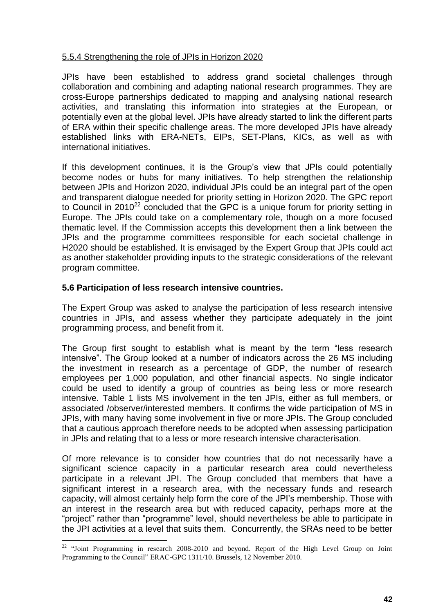#### 5.5.4 Strengthening the role of JPIs in Horizon 2020

JPIs have been established to address grand societal challenges through collaboration and combining and adapting national research programmes. They are cross-Europe partnerships dedicated to mapping and analysing national research activities, and translating this information into strategies at the European, or potentially even at the global level. JPIs have already started to link the different parts of ERA within their specific challenge areas. The more developed JPIs have already established links with ERA-NETs, EIPs, SET-Plans, KICs, as well as with international initiatives.

If this development continues, it is the Group's view that JPIs could potentially become nodes or hubs for many initiatives. To help strengthen the relationship between JPIs and Horizon 2020, individual JPIs could be an integral part of the open and transparent dialogue needed for priority setting in Horizon 2020. The GPC report to Council in  $2010^{22}$  concluded that the GPC is a unique forum for priority setting in Europe. The JPIs could take on a complementary role, though on a more focused thematic level. If the Commission accepts this development then a link between the JPIs and the programme committees responsible for each societal challenge in H2020 should be established. It is envisaged by the Expert Group that JPIs could act as another stakeholder providing inputs to the strategic considerations of the relevant program committee.

#### **5.6 Participation of less research intensive countries.**

1

The Expert Group was asked to analyse the participation of less research intensive countries in JPIs, and assess whether they participate adequately in the joint programming process, and benefit from it.

The Group first sought to establish what is meant by the term "less research intensive". The Group looked at a number of indicators across the 26 MS including the investment in research as a percentage of GDP, the number of research employees per 1,000 population, and other financial aspects. No single indicator could be used to identify a group of countries as being less or more research intensive. Table 1 lists MS involvement in the ten JPIs, either as full members, or associated /observer/interested members. It confirms the wide participation of MS in JPIs, with many having some involvement in five or more JPIs. The Group concluded that a cautious approach therefore needs to be adopted when assessing participation in JPIs and relating that to a less or more research intensive characterisation.

Of more relevance is to consider how countries that do not necessarily have a significant science capacity in a particular research area could nevertheless participate in a relevant JPI. The Group concluded that members that have a significant interest in a research area, with the necessary funds and research capacity, will almost certainly help form the core of the JPI's membership. Those with an interest in the research area but with reduced capacity, perhaps more at the "project" rather than "programme" level, should nevertheless be able to participate in the JPI activities at a level that suits them. Concurrently, the SRAs need to be better

<sup>&</sup>lt;sup>22</sup> "Joint Programming in research 2008-2010 and beyond. Report of the High Level Group on Joint Programming to the Council" ERAC-GPC 1311/10. Brussels, 12 November 2010.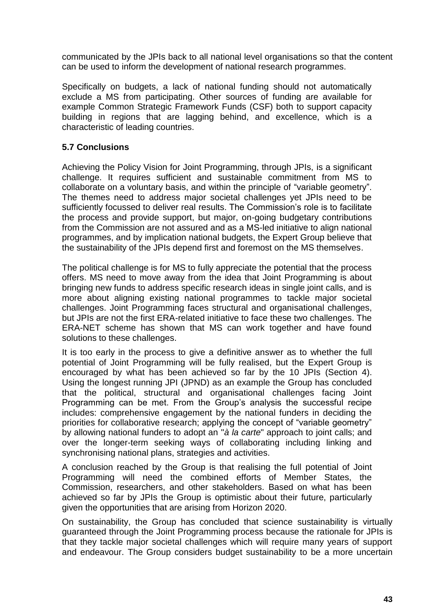communicated by the JPIs back to all national level organisations so that the content can be used to inform the development of national research programmes.

Specifically on budgets, a lack of national funding should not automatically exclude a MS from participating. Other sources of funding are available for example Common Strategic Framework Funds (CSF) both to support capacity building in regions that are lagging behind, and excellence, which is a characteristic of leading countries.

#### **5.7 Conclusions**

Achieving the Policy Vision for Joint Programming, through JPIs, is a significant challenge. It requires sufficient and sustainable commitment from MS to collaborate on a voluntary basis, and within the principle of "variable geometry". The themes need to address major societal challenges yet JPIs need to be sufficiently focussed to deliver real results. The Commission's role is to facilitate the process and provide support, but major, on-going budgetary contributions from the Commission are not assured and as a MS-led initiative to align national programmes, and by implication national budgets, the Expert Group believe that the sustainability of the JPIs depend first and foremost on the MS themselves.

The political challenge is for MS to fully appreciate the potential that the process offers. MS need to move away from the idea that Joint Programming is about bringing new funds to address specific research ideas in single joint calls, and is more about aligning existing national programmes to tackle major societal challenges. Joint Programming faces structural and organisational challenges, but JPIs are not the first ERA-related initiative to face these two challenges. The ERA-NET scheme has shown that MS can work together and have found solutions to these challenges.

It is too early in the process to give a definitive answer as to whether the full potential of Joint Programming will be fully realised, but the Expert Group is encouraged by what has been achieved so far by the 10 JPIs (Section 4). Using the longest running JPI (JPND) as an example the Group has concluded that the political, structural and organisational challenges facing Joint Programming can be met. From the Group's analysis the successful recipe includes: comprehensive engagement by the national funders in deciding the priorities for collaborative research; applying the concept of "variable geometry" by allowing national funders to adopt an "*à la carte*" approach to joint calls; and over the longer-term seeking ways of collaborating including linking and synchronising national plans, strategies and activities.

A conclusion reached by the Group is that realising the full potential of Joint Programming will need the combined efforts of Member States, the Commission, researchers, and other stakeholders. Based on what has been achieved so far by JPIs the Group is optimistic about their future, particularly given the opportunities that are arising from Horizon 2020.

On sustainability, the Group has concluded that science sustainability is virtually guaranteed through the Joint Programming process because the rationale for JPIs is that they tackle major societal challenges which will require many years of support and endeavour. The Group considers budget sustainability to be a more uncertain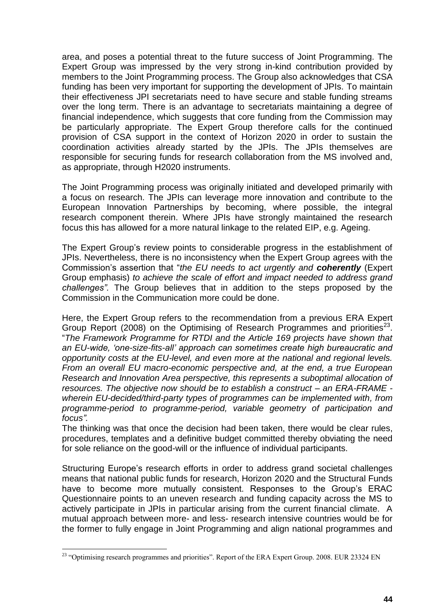area, and poses a potential threat to the future success of Joint Programming. The Expert Group was impressed by the very strong in-kind contribution provided by members to the Joint Programming process. The Group also acknowledges that CSA funding has been very important for supporting the development of JPIs. To maintain their effectiveness JPI secretariats need to have secure and stable funding streams over the long term. There is an advantage to secretariats maintaining a degree of financial independence, which suggests that core funding from the Commission may be particularly appropriate. The Expert Group therefore calls for the continued provision of CSA support in the context of Horizon 2020 in order to sustain the coordination activities already started by the JPIs. The JPIs themselves are responsible for securing funds for research collaboration from the MS involved and, as appropriate, through H2020 instruments.

The Joint Programming process was originally initiated and developed primarily with a focus on research. The JPIs can leverage more innovation and contribute to the European Innovation Partnerships by becoming, where possible, the integral research component therein. Where JPIs have strongly maintained the research focus this has allowed for a more natural linkage to the related EIP, e.g. Ageing.

The Expert Group's review points to considerable progress in the establishment of JPIs. Nevertheless, there is no inconsistency when the Expert Group agrees with the Commission's assertion that "*the EU needs to act urgently and coherently* (Expert Group emphasis) *to achieve the scale of effort and impact needed to address grand challenges".* The Group believes that in addition to the steps proposed by the Commission in the Communication more could be done.

Here, the Expert Group refers to the recommendation from a previous ERA Expert Group Report (2008) on the Optimising of Research Programmes and priorities<sup>23</sup>. "*The Framework Programme for RTDI and the Article 169 projects have shown that an EU-wide, 'one-size-fits-all' approach can sometimes create high bureaucratic and opportunity costs at the EU-level, and even more at the national and regional levels. From an overall EU macro-economic perspective and, at the end, a true European Research and Innovation Area perspective, this represents a suboptimal allocation of resources. The objective now should be to establish a construct – an ERA-FRAME wherein EU-decided/third-party types of programmes can be implemented with, from programme-period to programme-period, variable geometry of participation and focus".* 

The thinking was that once the decision had been taken, there would be clear rules, procedures, templates and a definitive budget committed thereby obviating the need for sole reliance on the good-will or the influence of individual participants.

Structuring Europe's research efforts in order to address grand societal challenges means that national public funds for research, Horizon 2020 and the Structural Funds have to become more mutually consistent. Responses to the Group's ERAC Questionnaire points to an uneven research and funding capacity across the MS to actively participate in JPIs in particular arising from the current financial climate. A mutual approach between more- and less- research intensive countries would be for the former to fully engage in Joint Programming and align national programmes and

<u>.</u>

<sup>&</sup>lt;sup>23</sup> "Optimising research programmes and priorities". Report of the ERA Expert Group. 2008. EUR 23324 EN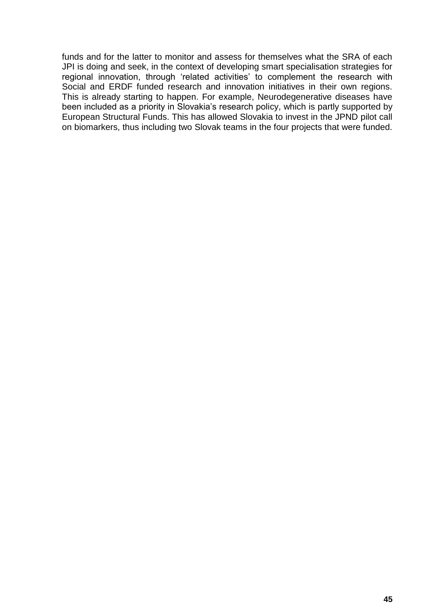funds and for the latter to monitor and assess for themselves what the SRA of each JPI is doing and seek, in the context of developing smart specialisation strategies for regional innovation, through 'related activities' to complement the research with Social and ERDF funded research and innovation initiatives in their own regions. This is already starting to happen. For example, Neurodegenerative diseases have been included as a priority in Slovakia's research policy, which is partly supported by European Structural Funds. This has allowed Slovakia to invest in the JPND pilot call on biomarkers, thus including two Slovak teams in the four projects that were funded.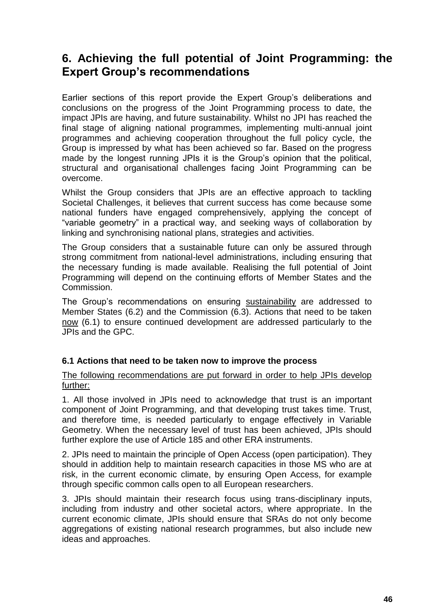### **6. Achieving the full potential of Joint Programming: the Expert Group's recommendations**

Earlier sections of this report provide the Expert Group's deliberations and conclusions on the progress of the Joint Programming process to date, the impact JPIs are having, and future sustainability. Whilst no JPI has reached the final stage of aligning national programmes, implementing multi-annual joint programmes and achieving cooperation throughout the full policy cycle, the Group is impressed by what has been achieved so far. Based on the progress made by the longest running JPIs it is the Group's opinion that the political, structural and organisational challenges facing Joint Programming can be overcome.

Whilst the Group considers that JPIs are an effective approach to tackling Societal Challenges, it believes that current success has come because some national funders have engaged comprehensively, applying the concept of "variable geometry" in a practical way, and seeking ways of collaboration by linking and synchronising national plans, strategies and activities.

The Group considers that a sustainable future can only be assured through strong commitment from national-level administrations, including ensuring that the necessary funding is made available. Realising the full potential of Joint Programming will depend on the continuing efforts of Member States and the Commission.

The Group's recommendations on ensuring sustainability are addressed to Member States (6.2) and the Commission (6.3). Actions that need to be taken now (6.1) to ensure continued development are addressed particularly to the JPIs and the GPC.

#### **6.1 Actions that need to be taken now to improve the process**

#### The following recommendations are put forward in order to help JPIs develop further:

1. All those involved in JPIs need to acknowledge that trust is an important component of Joint Programming, and that developing trust takes time. Trust, and therefore time, is needed particularly to engage effectively in Variable Geometry. When the necessary level of trust has been achieved, JPIs should further explore the use of Article 185 and other ERA instruments.

2. JPIs need to maintain the principle of Open Access (open participation). They should in addition help to maintain research capacities in those MS who are at risk, in the current economic climate, by ensuring Open Access, for example through specific common calls open to all European researchers.

3. JPIs should maintain their research focus using trans-disciplinary inputs, including from industry and other societal actors, where appropriate. In the current economic climate, JPIs should ensure that SRAs do not only become aggregations of existing national research programmes, but also include new ideas and approaches.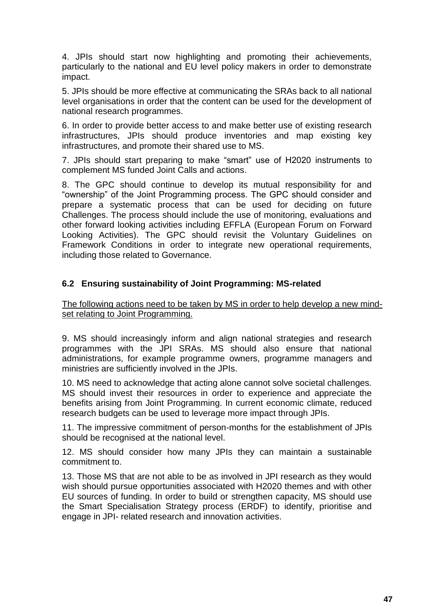4. JPIs should start now highlighting and promoting their achievements, particularly to the national and EU level policy makers in order to demonstrate impact.

5. JPIs should be more effective at communicating the SRAs back to all national level organisations in order that the content can be used for the development of national research programmes.

6. In order to provide better access to and make better use of existing research infrastructures, JPIs should produce inventories and map existing key infrastructures, and promote their shared use to MS.

7. JPIs should start preparing to make "smart" use of H2020 instruments to complement MS funded Joint Calls and actions.

8. The GPC should continue to develop its mutual responsibility for and "ownership" of the Joint Programming process. The GPC should consider and prepare a systematic process that can be used for deciding on future Challenges. The process should include the use of monitoring, evaluations and other forward looking activities including EFFLA (European Forum on Forward Looking Activities). The GPC should revisit the Voluntary Guidelines on Framework Conditions in order to integrate new operational requirements, including those related to Governance.

#### **6.2 Ensuring sustainability of Joint Programming: MS-related**

The following actions need to be taken by MS in order to help develop a new mindset relating to Joint Programming.

9. MS should increasingly inform and align national strategies and research programmes with the JPI SRAs. MS should also ensure that national administrations, for example programme owners, programme managers and ministries are sufficiently involved in the JPIs.

10. MS need to acknowledge that acting alone cannot solve societal challenges. MS should invest their resources in order to experience and appreciate the benefits arising from Joint Programming. In current economic climate, reduced research budgets can be used to leverage more impact through JPIs.

11. The impressive commitment of person-months for the establishment of JPIs should be recognised at the national level.

12. MS should consider how many JPIs they can maintain a sustainable commitment to.

13. Those MS that are not able to be as involved in JPI research as they would wish should pursue opportunities associated with H2020 themes and with other EU sources of funding. In order to build or strengthen capacity, MS should use the Smart Specialisation Strategy process (ERDF) to identify, prioritise and engage in JPI- related research and innovation activities.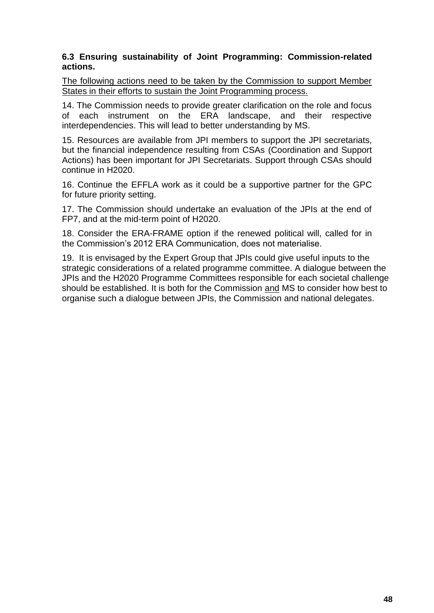#### **6.3 Ensuring sustainability of Joint Programming: Commission-related actions.**

The following actions need to be taken by the Commission to support Member States in their efforts to sustain the Joint Programming process.

14. The Commission needs to provide greater clarification on the role and focus<br>of each instrument on the ERA landscape, and their respective of each instrument on the ERA landscape, interdependencies. This will lead to better understanding by MS.

15. Resources are available from JPI members to support the JPI secretariats, but the financial independence resulting from CSAs (Coordination and Support Actions) has been important for JPI Secretariats. Support through CSAs should continue in H2020.

16. Continue the EFFLA work as it could be a supportive partner for the GPC for future priority setting.

17. The Commission should undertake an evaluation of the JPIs at the end of FP7, and at the mid-term point of H2020.

18. Consider the ERA-FRAME option if the renewed political will, called for in the Commission's 2012 ERA Communication, does not materialise.

19. It is envisaged by the Expert Group that JPIs could give useful inputs to the strategic considerations of a related programme committee. A dialogue between the JPIs and the H2020 Programme Committees responsible for each societal challenge should be established. It is both for the Commission and MS to consider how best to organise such a dialogue between JPIs, the Commission and national delegates.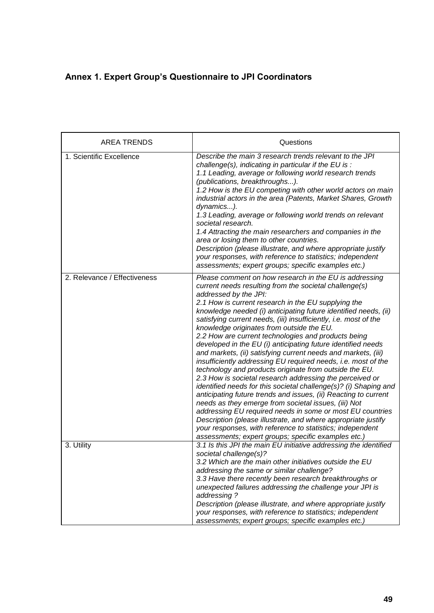### **Annex 1. Expert Group's Questionnaire to JPI Coordinators**

| <b>AREA TRENDS</b>           | Questions                                                                                                                                                                                                                                                                                                                                                                                                                                                                                                                                                                                                                                                                                                                                                                                                                                                                                                                                                                                                                                                                                                                                                                                                            |
|------------------------------|----------------------------------------------------------------------------------------------------------------------------------------------------------------------------------------------------------------------------------------------------------------------------------------------------------------------------------------------------------------------------------------------------------------------------------------------------------------------------------------------------------------------------------------------------------------------------------------------------------------------------------------------------------------------------------------------------------------------------------------------------------------------------------------------------------------------------------------------------------------------------------------------------------------------------------------------------------------------------------------------------------------------------------------------------------------------------------------------------------------------------------------------------------------------------------------------------------------------|
| 1. Scientific Excellence     | Describe the main 3 research trends relevant to the JPI<br>challenge(s), indicating in particular if the EU is :<br>1.1 Leading, average or following world research trends<br>(publications, breakthroughs).<br>1.2 How is the EU competing with other world actors on main<br>industrial actors in the area (Patents, Market Shares, Growth<br>dynamics).<br>1.3 Leading, average or following world trends on relevant<br>societal research.<br>1.4 Attracting the main researchers and companies in the<br>area or losing them to other countries.<br>Description (please illustrate, and where appropriate justify<br>your responses, with reference to statistics; independent<br>assessments; expert groups; specific examples etc.)                                                                                                                                                                                                                                                                                                                                                                                                                                                                          |
| 2. Relevance / Effectiveness | Please comment on how research in the EU is addressing<br>current needs resulting from the societal challenge(s)<br>addressed by the JPI:<br>2.1 How is current research in the EU supplying the<br>knowledge needed (i) anticipating future identified needs, (ii)<br>satisfying current needs, (iii) insufficiently, i.e. most of the<br>knowledge originates from outside the EU.<br>2.2 How are current technologies and products being<br>developed in the EU (i) anticipating future identified needs<br>and markets, (ii) satisfying current needs and markets, (iii)<br>insufficiently addressing EU required needs, i.e. most of the<br>technology and products originate from outside the EU.<br>2.3 How is societal research addressing the perceived or<br>identified needs for this societal challenge(s)? (i) Shaping and<br>anticipating future trends and issues, (ii) Reacting to current<br>needs as they emerge from societal issues, (iii) Not<br>addressing EU required needs in some or most EU countries<br>Description (please illustrate, and where appropriate justify<br>your responses, with reference to statistics; independent<br>assessments; expert groups; specific examples etc.) |
| 3. Utility                   | 3.1 Is this JPI the main EU initiative addressing the identified<br>societal challenge(s)?<br>3.2 Which are the main other initiatives outside the EU<br>addressing the same or similar challenge?<br>3.3 Have there recently been research breakthroughs or<br>unexpected failures addressing the challenge your JPI is<br>addressing?<br>Description (please illustrate, and where appropriate justify<br>your responses, with reference to statistics; independent<br>assessments; expert groups; specific examples etc.)                                                                                                                                                                                                                                                                                                                                                                                                                                                                                                                                                                                                                                                                                         |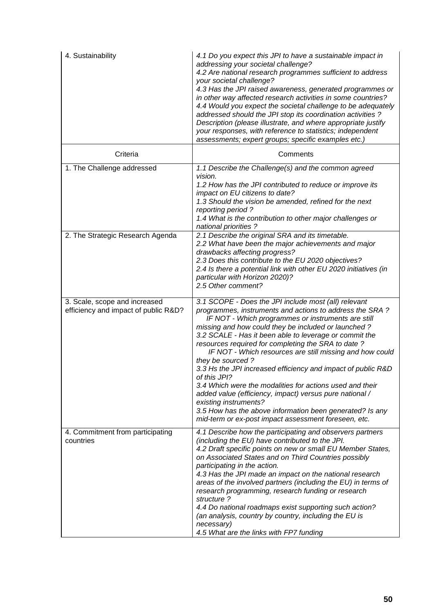| 4. Sustainability                                                     | 4.1 Do you expect this JPI to have a sustainable impact in<br>addressing your societal challenge?<br>4.2 Are national research programmes sufficient to address<br>your societal challenge?<br>4.3 Has the JPI raised awareness, generated programmes or<br>in other way affected research activities in some countries?<br>4.4 Would you expect the societal challenge to be adequately<br>addressed should the JPI stop its coordination activities ?<br>Description (please illustrate, and where appropriate justify<br>your responses, with reference to statistics; independent<br>assessments; expert groups; specific examples etc.)                                                                                                                                     |
|-----------------------------------------------------------------------|----------------------------------------------------------------------------------------------------------------------------------------------------------------------------------------------------------------------------------------------------------------------------------------------------------------------------------------------------------------------------------------------------------------------------------------------------------------------------------------------------------------------------------------------------------------------------------------------------------------------------------------------------------------------------------------------------------------------------------------------------------------------------------|
| Criteria                                                              | Comments                                                                                                                                                                                                                                                                                                                                                                                                                                                                                                                                                                                                                                                                                                                                                                         |
| 1. The Challenge addressed                                            | 1.1 Describe the Challenge(s) and the common agreed<br>vision.<br>1.2 How has the JPI contributed to reduce or improve its<br>impact on EU citizens to date?<br>1.3 Should the vision be amended, refined for the next<br>reporting period?<br>1.4 What is the contribution to other major challenges or<br>national priorities?                                                                                                                                                                                                                                                                                                                                                                                                                                                 |
| 2. The Strategic Research Agenda                                      | 2.1 Describe the original SRA and its timetable.<br>2.2 What have been the major achievements and major<br>drawbacks affecting progress?<br>2.3 Does this contribute to the EU 2020 objectives?<br>2.4 Is there a potential link with other EU 2020 initiatives (in<br>particular with Horizon 2020)?<br>2.5 Other comment?                                                                                                                                                                                                                                                                                                                                                                                                                                                      |
| 3. Scale, scope and increased<br>efficiency and impact of public R&D? | 3.1 SCOPE - Does the JPI include most (all) relevant<br>programmes, instruments and actions to address the SRA?<br>IF NOT - Which programmes or instruments are still<br>missing and how could they be included or launched?<br>3.2 SCALE - Has it been able to leverage or commit the<br>resources required for completing the SRA to date?<br>IF NOT - Which resources are still missing and how could<br>they be sourced?<br>3.3 Hs the JPI increased efficiency and impact of public R&D<br>of this JPI?<br>3.4 Which were the modalities for actions used and their<br>added value (efficiency, impact) versus pure national /<br>existing instruments?<br>3.5 How has the above information been generated? Is any<br>mid-term or ex-post impact assessment foreseen, etc. |
| 4. Commitment from participating<br>countries                         | 4.1 Describe how the participating and observers partners<br>(including the EU) have contributed to the JPI.<br>4.2 Draft specific points on new or small EU Member States,<br>on Associated States and on Third Countries possibly<br>participating in the action.<br>4.3 Has the JPI made an impact on the national research<br>areas of the involved partners (including the EU) in terms of<br>research programming, research funding or research<br>structure?<br>4.4 Do national roadmaps exist supporting such action?<br>(an analysis, country by country, including the EU is<br>necessary)<br>4.5 What are the links with FP7 funding                                                                                                                                  |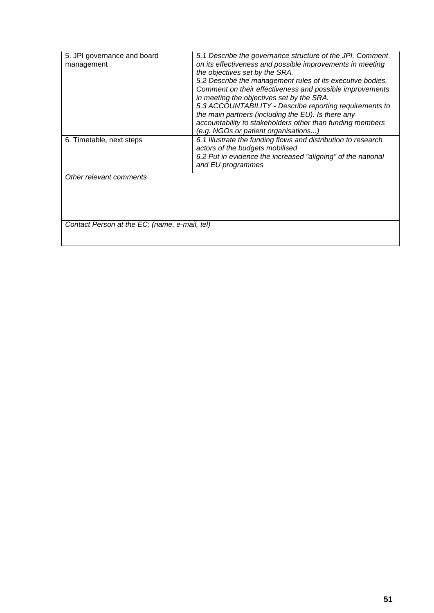| 5. JPI governance and board<br>management     | 5.1 Describe the governance structure of the JPI. Comment<br>on its effectiveness and possible improvements in meeting<br>the objectives set by the SRA.<br>5.2 Describe the management rules of its executive bodies.<br>Comment on their effectiveness and possible improvements<br>in meeting the objectives set by the SRA.<br>5.3 ACCOUNTABILITY - Describe reporting requirements to<br>the main partners (including the EU). Is there any<br>accountability to stakeholders other than funding members<br>(e.g. NGOs or patient organisations) |  |  |  |  |
|-----------------------------------------------|-------------------------------------------------------------------------------------------------------------------------------------------------------------------------------------------------------------------------------------------------------------------------------------------------------------------------------------------------------------------------------------------------------------------------------------------------------------------------------------------------------------------------------------------------------|--|--|--|--|
| 6. Timetable, next steps                      | 6.1 Illustrate the funding flows and distribution to research<br>actors of the budgets mobilised<br>6.2 Put in evidence the increased "aligning" of the national<br>and EU programmes                                                                                                                                                                                                                                                                                                                                                                 |  |  |  |  |
| Other relevant comments                       |                                                                                                                                                                                                                                                                                                                                                                                                                                                                                                                                                       |  |  |  |  |
| Contact Person at the EC: (name, e-mail, tel) |                                                                                                                                                                                                                                                                                                                                                                                                                                                                                                                                                       |  |  |  |  |